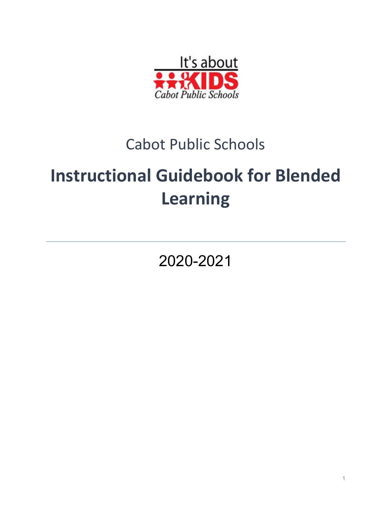

# Cabot Public Schools

# **Instructional Guidebook for Blended Learning**

2020-2021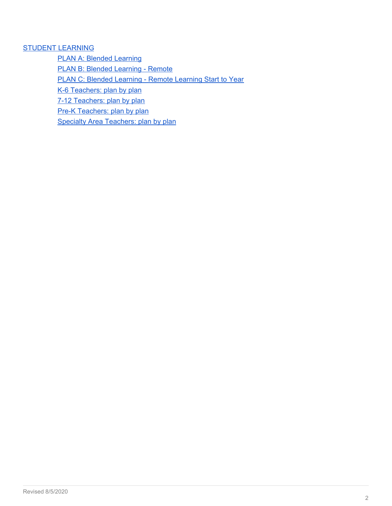# STUDENT [LEARNING](#page-2-0)

PLAN A: Blended [Learning](#page-3-0)

PLAN B: Blended [Learning](#page-8-0) - Remote

PLAN C: Blended [Learning](#page-13-0) - Remote Learning Start to Year

K-6 [Teachers:](#page-18-0) plan by plan

7-12 [Teachers:](#page-22-0) plan by plan

Pre-K [Teachers:](#page-27-0) plan by plan

Specialty Area [Teachers:](#page-30-0) plan by plan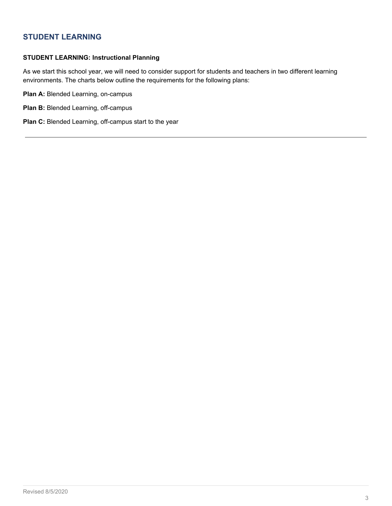# <span id="page-2-0"></span>**STUDENT LEARNING**

#### **STUDENT LEARNING: Instructional Planning**

As we start this school year, we will need to consider support for students and teachers in two different learning environments. The charts below outline the requirements for the following plans:

**Plan A:** Blended Learning, on-campus

- **Plan B:** Blended Learning, off-campus
- **Plan C:** Blended Learning, off-campus start to the year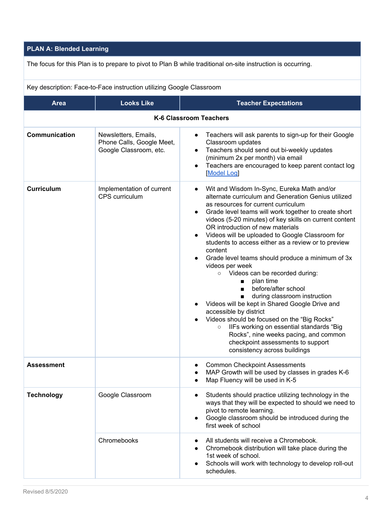# <span id="page-3-0"></span>**PLAN A: Blended Learning**

The focus for this Plan is to prepare to pivot to Plan B while traditional on-site instruction is occurring.

Key description: Face-to-Face instruction utilizing Google Classroom

| <b>Area</b>       | <b>Looks Like</b>                                                           | <b>Teacher Expectations</b>                                                                                                                                                                                                                                                                                                                                                                                                                                                                                                                                                                                                                                                                                                                                                                                                                                                                                                                                                  |
|-------------------|-----------------------------------------------------------------------------|------------------------------------------------------------------------------------------------------------------------------------------------------------------------------------------------------------------------------------------------------------------------------------------------------------------------------------------------------------------------------------------------------------------------------------------------------------------------------------------------------------------------------------------------------------------------------------------------------------------------------------------------------------------------------------------------------------------------------------------------------------------------------------------------------------------------------------------------------------------------------------------------------------------------------------------------------------------------------|
|                   |                                                                             | <b>K-6 Classroom Teachers</b>                                                                                                                                                                                                                                                                                                                                                                                                                                                                                                                                                                                                                                                                                                                                                                                                                                                                                                                                                |
| Communication     | Newsletters, Emails,<br>Phone Calls, Google Meet,<br>Google Classroom, etc. | Teachers will ask parents to sign-up for their Google<br>$\bullet$<br>Classroom updates<br>Teachers should send out bi-weekly updates<br>$\bullet$<br>(minimum 2x per month) via email<br>Teachers are encouraged to keep parent contact log<br>$\bullet$<br><b>Model Log</b>                                                                                                                                                                                                                                                                                                                                                                                                                                                                                                                                                                                                                                                                                                |
| <b>Curriculum</b> | Implementation of current<br>CPS curriculum                                 | Wit and Wisdom In-Sync, Eureka Math and/or<br>$\bullet$<br>alternate curriculum and Generation Genius utilized<br>as resources for current curriculum<br>Grade level teams will work together to create short<br>$\bullet$<br>videos (5-20 minutes) of key skills on current content<br>OR introduction of new materials<br>Videos will be uploaded to Google Classroom for<br>$\bullet$<br>students to access either as a review or to preview<br>content<br>Grade level teams should produce a minimum of 3x<br>$\bullet$<br>videos per week<br>Videos can be recorded during:<br>$\circ$<br>plan time<br>before/after school<br>during classroom instruction<br>Videos will be kept in Shared Google Drive and<br>$\bullet$<br>accessible by district<br>Videos should be focused on the "Big Rocks"<br>IIFs working on essential standards "Big<br>$\circ$<br>Rocks", nine weeks pacing, and common<br>checkpoint assessments to support<br>consistency across buildings |
| <b>Assessment</b> |                                                                             | <b>Common Checkpoint Assessments</b><br>MAP Growth will be used by classes in grades K-6<br>Map Fluency will be used in K-5                                                                                                                                                                                                                                                                                                                                                                                                                                                                                                                                                                                                                                                                                                                                                                                                                                                  |
| <b>Technology</b> | Google Classroom                                                            | Students should practice utilizing technology in the<br>ways that they will be expected to should we need to<br>pivot to remote learning.<br>Google classroom should be introduced during the<br>$\bullet$<br>first week of school                                                                                                                                                                                                                                                                                                                                                                                                                                                                                                                                                                                                                                                                                                                                           |
|                   | Chromebooks                                                                 | All students will receive a Chromebook.<br>Chromebook distribution will take place during the<br>1st week of school.<br>Schools will work with technology to develop roll-out<br>schedules.                                                                                                                                                                                                                                                                                                                                                                                                                                                                                                                                                                                                                                                                                                                                                                                  |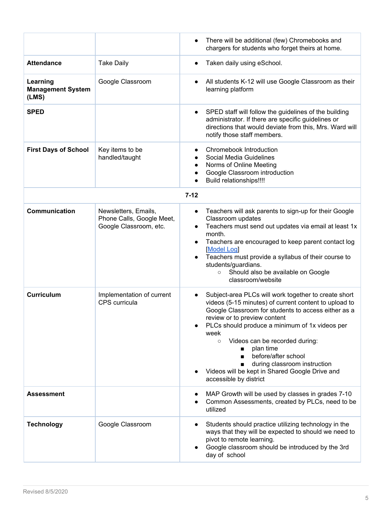|                                               |                                                                             | There will be additional (few) Chromebooks and<br>$\bullet$<br>chargers for students who forget theirs at home.                                                                                                                                                                                                                                                                                                                                                                                              |
|-----------------------------------------------|-----------------------------------------------------------------------------|--------------------------------------------------------------------------------------------------------------------------------------------------------------------------------------------------------------------------------------------------------------------------------------------------------------------------------------------------------------------------------------------------------------------------------------------------------------------------------------------------------------|
| <b>Attendance</b>                             | <b>Take Daily</b>                                                           | Taken daily using eSchool.<br>$\bullet$                                                                                                                                                                                                                                                                                                                                                                                                                                                                      |
| Learning<br><b>Management System</b><br>(LMS) | Google Classroom                                                            | All students K-12 will use Google Classroom as their<br>learning platform                                                                                                                                                                                                                                                                                                                                                                                                                                    |
| <b>SPED</b>                                   |                                                                             | SPED staff will follow the guidelines of the building<br>$\bullet$<br>administrator. If there are specific guidelines or<br>directions that would deviate from this, Mrs. Ward will<br>notify those staff members.                                                                                                                                                                                                                                                                                           |
| <b>First Days of School</b>                   | Key items to be<br>handled/taught                                           | Chromebook Introduction<br>Social Media Guidelines<br>Norms of Online Meeting<br>Google Classroom introduction<br>Build relationships!!!!                                                                                                                                                                                                                                                                                                                                                                    |
|                                               |                                                                             | $7 - 12$                                                                                                                                                                                                                                                                                                                                                                                                                                                                                                     |
| Communication                                 | Newsletters, Emails,<br>Phone Calls, Google Meet,<br>Google Classroom, etc. | Teachers will ask parents to sign-up for their Google<br>$\bullet$<br>Classroom updates<br>Teachers must send out updates via email at least 1x<br>$\bullet$<br>month.<br>Teachers are encouraged to keep parent contact log<br>Model Log<br>Teachers must provide a syllabus of their course to<br>students/guardians.<br>Should also be available on Google<br>$\circ$<br>classroom/website                                                                                                                |
| <b>Curriculum</b>                             | Implementation of current<br>CPS curricula                                  | Subject-area PLCs will work together to create short<br>$\bullet$<br>videos (5-15 minutes) of current content to upload to<br>Google Classroom for students to access either as a<br>review or to preview content<br>PLCs should produce a minimum of 1x videos per<br>week<br>Videos can be recorded during:<br>$\circ$<br>plan time<br>before/after school<br>$\blacksquare$<br>during classroom instruction<br>$\blacksquare$<br>Videos will be kept in Shared Google Drive and<br>accessible by district |
| <b>Assessment</b>                             |                                                                             | MAP Growth will be used by classes in grades 7-10<br>Common Assessments, created by PLCs, need to be<br>utilized                                                                                                                                                                                                                                                                                                                                                                                             |
| <b>Technology</b>                             | Google Classroom                                                            | Students should practice utilizing technology in the<br>ways that they will be expected to should we need to<br>pivot to remote learning.<br>Google classroom should be introduced by the 3rd<br>day of school                                                                                                                                                                                                                                                                                               |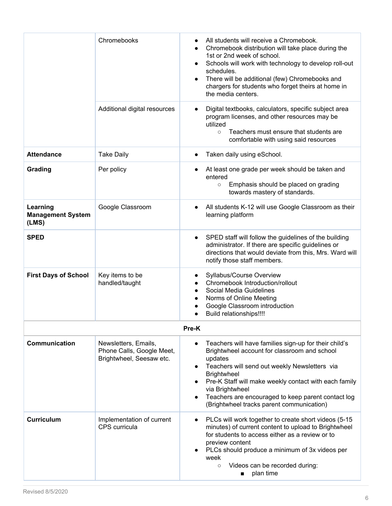|                                               | Chromebooks                                                                   | All students will receive a Chromebook.<br>Chromebook distribution will take place during the<br>$\bullet$<br>1st or 2nd week of school.<br>Schools will work with technology to develop roll-out<br>schedules.<br>There will be additional (few) Chromebooks and<br>chargers for students who forget theirs at home in<br>the media centers.                          |
|-----------------------------------------------|-------------------------------------------------------------------------------|------------------------------------------------------------------------------------------------------------------------------------------------------------------------------------------------------------------------------------------------------------------------------------------------------------------------------------------------------------------------|
|                                               | Additional digital resources                                                  | Digital textbooks, calculators, specific subject area<br>$\bullet$<br>program licenses, and other resources may be<br>utilized<br>Teachers must ensure that students are<br>$\circ$<br>comfortable with using said resources                                                                                                                                           |
| <b>Attendance</b>                             | <b>Take Daily</b>                                                             | Taken daily using eSchool.                                                                                                                                                                                                                                                                                                                                             |
| Grading                                       | Per policy                                                                    | At least one grade per week should be taken and<br>entered<br>Emphasis should be placed on grading<br>$\circ$<br>towards mastery of standards.                                                                                                                                                                                                                         |
| Learning<br><b>Management System</b><br>(LMS) | Google Classroom                                                              | All students K-12 will use Google Classroom as their<br>learning platform                                                                                                                                                                                                                                                                                              |
| <b>SPED</b>                                   |                                                                               | SPED staff will follow the guidelines of the building<br>administrator. If there are specific guidelines or<br>directions that would deviate from this, Mrs. Ward will<br>notify those staff members.                                                                                                                                                                  |
| <b>First Days of School</b>                   | Key items to be<br>handled/taught                                             | Syllabus/Course Overview<br>Chromebook Introduction/rollout<br>Social Media Guidelines<br>Norms of Online Meeting<br>Google Classroom introduction<br><b>Build relationships!!!!</b><br>$\bullet$                                                                                                                                                                      |
|                                               |                                                                               | Pre-K                                                                                                                                                                                                                                                                                                                                                                  |
| <b>Communication</b>                          | Newsletters, Emails,<br>Phone Calls, Google Meet,<br>Brightwheel, Seesaw etc. | Teachers will have families sign-up for their child's<br>Brightwheel account for classroom and school<br>updates<br>Teachers will send out weekly Newsletters via<br><b>Brightwheel</b><br>Pre-K Staff will make weekly contact with each family<br>via Brightwheel<br>Teachers are encouraged to keep parent contact log<br>(Brightwheel tracks parent communication) |
| <b>Curriculum</b>                             | Implementation of current<br>CPS curricula                                    | PLCs will work together to create short videos (5-15<br>minutes) of current content to upload to Brightwheel<br>for students to access either as a review or to<br>preview content<br>PLCs should produce a minimum of 3x videos per<br>week<br>Videos can be recorded during:<br>$\circ$<br>plan time<br>■                                                            |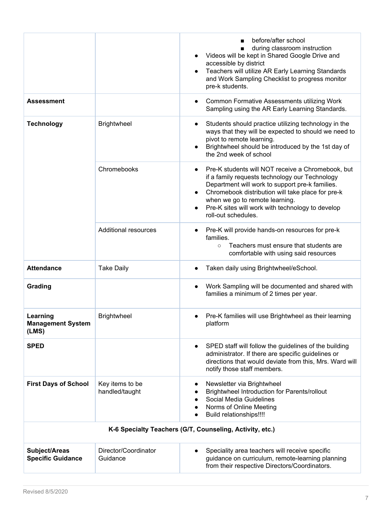|                                               |                                   | before/after school<br>during classroom instruction<br>■<br>Videos will be kept in Shared Google Drive and<br>accessible by district<br>Teachers will utilize AR Early Learning Standards<br>and Work Sampling Checklist to progress monitor<br>pre-k students.                                                          |
|-----------------------------------------------|-----------------------------------|--------------------------------------------------------------------------------------------------------------------------------------------------------------------------------------------------------------------------------------------------------------------------------------------------------------------------|
| Assessment                                    |                                   | Common Formative Assessments utilizing Work<br>Sampling using the AR Early Learning Standards.                                                                                                                                                                                                                           |
| <b>Technology</b>                             | <b>Brightwheel</b>                | Students should practice utilizing technology in the<br>ways that they will be expected to should we need to<br>pivot to remote learning.<br>Brightwheel should be introduced by the 1st day of<br>the 2nd week of school                                                                                                |
|                                               | Chromebooks                       | Pre-K students will NOT receive a Chromebook, but<br>if a family requests technology our Technology<br>Department will work to support pre-k families.<br>Chromebook distribution will take place for pre-k<br>when we go to remote learning.<br>Pre-K sites will work with technology to develop<br>roll-out schedules. |
|                                               | <b>Additional resources</b>       | Pre-K will provide hands-on resources for pre-k<br>families.<br>Teachers must ensure that students are<br>$\circ$<br>comfortable with using said resources                                                                                                                                                               |
| <b>Attendance</b>                             | <b>Take Daily</b>                 | Taken daily using Brightwheel/eSchool.                                                                                                                                                                                                                                                                                   |
| Grading                                       |                                   | Work Sampling will be documented and shared with<br>families a minimum of 2 times per year.                                                                                                                                                                                                                              |
| Learning<br><b>Management System</b><br>(LMS) | <b>Brightwheel</b>                | Pre-K families will use Brightwheel as their learning<br>platform                                                                                                                                                                                                                                                        |
| <b>SPED</b>                                   |                                   | SPED staff will follow the guidelines of the building<br>administrator. If there are specific guidelines or<br>directions that would deviate from this, Mrs. Ward will<br>notify those staff members.                                                                                                                    |
| <b>First Days of School</b>                   | Key items to be<br>handled/taught | Newsletter via Brightwheel<br>Brightwheel Introduction for Parents/rollout<br>Social Media Guidelines<br>Norms of Online Meeting<br>Build relationships!!!!                                                                                                                                                              |
|                                               |                                   | K-6 Specialty Teachers (G/T, Counseling, Activity, etc.)                                                                                                                                                                                                                                                                 |
| Subject/Areas<br><b>Specific Guidance</b>     | Director/Coordinator<br>Guidance  | Speciality area teachers will receive specific<br>guidance on curriculum, remote-learning planning<br>from their respective Directors/Coordinators.                                                                                                                                                                      |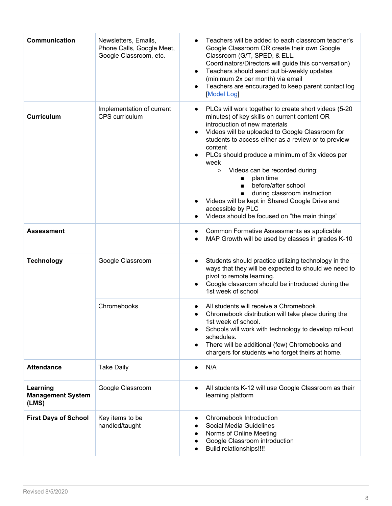| Communication                                 | Newsletters, Emails,<br>Phone Calls, Google Meet,<br>Google Classroom, etc. | Teachers will be added to each classroom teacher's<br>Google Classroom OR create their own Google<br>Classroom (G/T, SPED, & ELL.<br>Coordinators/Directors will guide this conversation)<br>Teachers should send out bi-weekly updates<br>$\bullet$<br>(minimum 2x per month) via email<br>Teachers are encouraged to keep parent contact log<br>Model Log                                                                                                                                                                                                                                       |
|-----------------------------------------------|-----------------------------------------------------------------------------|---------------------------------------------------------------------------------------------------------------------------------------------------------------------------------------------------------------------------------------------------------------------------------------------------------------------------------------------------------------------------------------------------------------------------------------------------------------------------------------------------------------------------------------------------------------------------------------------------|
| <b>Curriculum</b>                             | Implementation of current<br>CPS curriculum                                 | PLCs will work together to create short videos (5-20<br>minutes) of key skills on current content OR<br>introduction of new materials<br>Videos will be uploaded to Google Classroom for<br>students to access either as a review or to preview<br>content<br>PLCs should produce a minimum of 3x videos per<br>week<br>Videos can be recorded during:<br>$\circ$<br>plan time<br>$\blacksquare$<br>before/after school<br>$\blacksquare$<br>during classroom instruction<br>Videos will be kept in Shared Google Drive and<br>accessible by PLC<br>Videos should be focused on "the main things" |
| <b>Assessment</b>                             |                                                                             | Common Formative Assessments as applicable<br>$\bullet$<br>MAP Growth will be used by classes in grades K-10<br>$\bullet$                                                                                                                                                                                                                                                                                                                                                                                                                                                                         |
| <b>Technology</b>                             | Google Classroom                                                            | Students should practice utilizing technology in the<br>$\bullet$<br>ways that they will be expected to should we need to<br>pivot to remote learning.<br>Google classroom should be introduced during the<br>1st week of school                                                                                                                                                                                                                                                                                                                                                                  |
|                                               | Chromebooks                                                                 | All students will receive a Chromebook.<br>Chromebook distribution will take place during the<br>$\bullet$<br>1st week of school.<br>Schools will work with technology to develop roll-out<br>$\bullet$<br>schedules.<br>There will be additional (few) Chromebooks and<br>$\bullet$<br>chargers for students who forget theirs at home.                                                                                                                                                                                                                                                          |
| <b>Attendance</b>                             | <b>Take Daily</b>                                                           | N/A<br>$\bullet$                                                                                                                                                                                                                                                                                                                                                                                                                                                                                                                                                                                  |
| Learning<br><b>Management System</b><br>(LMS) | Google Classroom                                                            | All students K-12 will use Google Classroom as their<br>$\bullet$<br>learning platform                                                                                                                                                                                                                                                                                                                                                                                                                                                                                                            |
| <b>First Days of School</b>                   | Key items to be<br>handled/taught                                           | Chromebook Introduction<br>Social Media Guidelines<br>Norms of Online Meeting<br>Google Classroom introduction<br>Build relationships!!!!                                                                                                                                                                                                                                                                                                                                                                                                                                                         |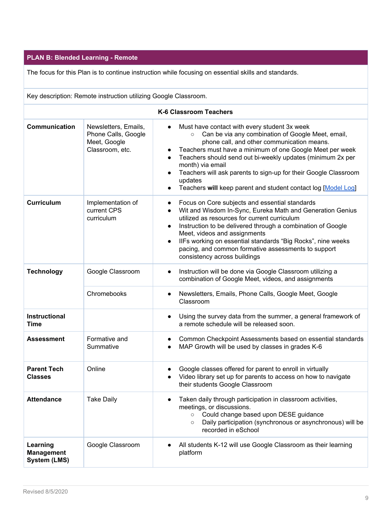#### <span id="page-8-0"></span>**PLAN B: Blended Learning - Remote**

The focus for this Plan is to continue instruction while focusing on essential skills and standards.

| Key description: Remote instruction utilizing Google Classroom. |                                                                                |                                                                                                                                                                                                                                                                                                                                                                                                                                                                                                |  |
|-----------------------------------------------------------------|--------------------------------------------------------------------------------|------------------------------------------------------------------------------------------------------------------------------------------------------------------------------------------------------------------------------------------------------------------------------------------------------------------------------------------------------------------------------------------------------------------------------------------------------------------------------------------------|--|
|                                                                 |                                                                                | <b>K-6 Classroom Teachers</b>                                                                                                                                                                                                                                                                                                                                                                                                                                                                  |  |
| <b>Communication</b>                                            | Newsletters, Emails,<br>Phone Calls, Google<br>Meet, Google<br>Classroom, etc. | Must have contact with every student 3x week<br>$\bullet$<br>Can be via any combination of Google Meet, email,<br>$\circ$<br>phone call, and other communication means.<br>Teachers must have a minimum of one Google Meet per week<br>Teachers should send out bi-weekly updates (minimum 2x per<br>$\bullet$<br>month) via email<br>Teachers will ask parents to sign-up for their Google Classroom<br>$\bullet$<br>updates<br>Teachers will keep parent and student contact log [Model Log] |  |
| <b>Curriculum</b>                                               | Implementation of<br>current CPS<br>curriculum                                 | Focus on Core subjects and essential standards<br>$\bullet$<br>Wit and Wisdom In-Sync, Eureka Math and Generation Genius<br>$\bullet$<br>utilized as resources for current curriculum<br>Instruction to be delivered through a combination of Google<br>$\bullet$<br>Meet, videos and assignments<br>IIFs working on essential standards "Big Rocks", nine weeks<br>$\bullet$<br>pacing, and common formative assessments to support<br>consistency across buildings                           |  |
| <b>Technology</b>                                               | Google Classroom                                                               | Instruction will be done via Google Classroom utilizing a<br>$\bullet$<br>combination of Google Meet, videos, and assignments                                                                                                                                                                                                                                                                                                                                                                  |  |
|                                                                 | Chromebooks                                                                    | Newsletters, Emails, Phone Calls, Google Meet, Google<br>$\bullet$<br>Classroom                                                                                                                                                                                                                                                                                                                                                                                                                |  |
| <b>Instructional</b><br>Time                                    |                                                                                | Using the survey data from the summer, a general framework of<br>$\bullet$<br>a remote schedule will be released soon.                                                                                                                                                                                                                                                                                                                                                                         |  |
| <b>Assessment</b>                                               | Formative and<br>Summative                                                     | Common Checkpoint Assessments based on essential standards<br>MAP Growth will be used by classes in grades K-6                                                                                                                                                                                                                                                                                                                                                                                 |  |
| <b>Parent Tech</b><br><b>Classes</b>                            | Online                                                                         | Google classes offered for parent to enroll in virtually<br>Video library set up for parents to access on how to navigate<br>their students Google Classroom                                                                                                                                                                                                                                                                                                                                   |  |
| <b>Attendance</b>                                               | <b>Take Daily</b>                                                              | Taken daily through participation in classroom activities,<br>$\bullet$<br>meetings, or discussions.<br>Could change based upon DESE guidance<br>$\circ$                                                                                                                                                                                                                                                                                                                                       |  |

**Learning**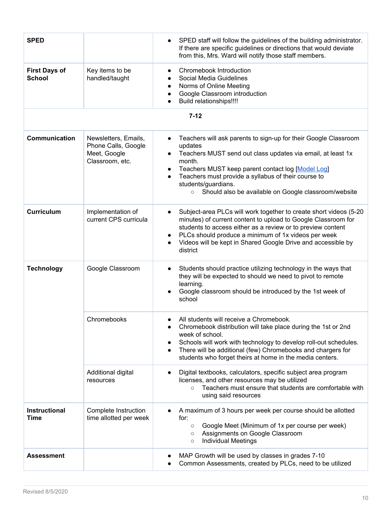| <b>SPED</b>                           |                                                                                | SPED staff will follow the guidelines of the building administrator.<br>$\bullet$<br>If there are specific guidelines or directions that would deviate<br>from this, Mrs. Ward will notify those staff members.                                                                                                                                                                                  |
|---------------------------------------|--------------------------------------------------------------------------------|--------------------------------------------------------------------------------------------------------------------------------------------------------------------------------------------------------------------------------------------------------------------------------------------------------------------------------------------------------------------------------------------------|
| <b>First Days of</b><br><b>School</b> | Key items to be<br>handled/taught                                              | Chromebook Introduction<br>$\bullet$<br>Social Media Guidelines<br>Norms of Online Meeting<br>$\bullet$<br>Google Classroom introduction<br>$\bullet$<br>Build relationships!!!!                                                                                                                                                                                                                 |
|                                       |                                                                                | $7 - 12$                                                                                                                                                                                                                                                                                                                                                                                         |
| Communication                         | Newsletters, Emails,<br>Phone Calls, Google<br>Meet, Google<br>Classroom, etc. | Teachers will ask parents to sign-up for their Google Classroom<br>$\bullet$<br>updates<br>Teachers MUST send out class updates via email, at least 1x<br>month.<br>Teachers MUST keep parent contact log [Model Log]<br>$\bullet$<br>Teachers must provide a syllabus of their course to<br>$\bullet$<br>students/guardians.<br>Should also be available on Google classroom/website<br>$\circ$ |
| <b>Curriculum</b>                     | Implementation of<br>current CPS curricula                                     | Subject-area PLCs will work together to create short videos (5-20<br>$\bullet$<br>minutes) of current content to upload to Google Classroom for<br>students to access either as a review or to preview content<br>PLCs should produce a minimum of 1x videos per week<br>$\bullet$<br>Videos will be kept in Shared Google Drive and accessible by<br>district                                   |
| <b>Technology</b>                     | Google Classroom                                                               | Students should practice utilizing technology in the ways that<br>$\bullet$<br>they will be expected to should we need to pivot to remote<br>learning.<br>Google classroom should be introduced by the 1st week of<br>school                                                                                                                                                                     |
|                                       | Chromebooks                                                                    | All students will receive a Chromebook.<br>Chromebook distribution will take place during the 1st or 2nd<br>week of school.<br>Schools will work with technology to develop roll-out schedules.<br>$\bullet$<br>There will be additional (few) Chromebooks and chargers for<br>$\bullet$<br>students who forget theirs at home in the media centers.                                             |
|                                       | Additional digital<br>resources                                                | Digital textbooks, calculators, specific subject area program<br>$\bullet$<br>licenses, and other resources may be utilized<br>Teachers must ensure that students are comfortable with<br>$\circ$<br>using said resources                                                                                                                                                                        |
| Instructional<br><b>Time</b>          | Complete Instruction<br>time allotted per week                                 | A maximum of 3 hours per week per course should be allotted<br>for:<br>Google Meet (Minimum of 1x per course per week)<br>$\circ$<br>Assignments on Google Classroom<br>$\circ$<br><b>Individual Meetings</b><br>$\circ$                                                                                                                                                                         |
| <b>Assessment</b>                     |                                                                                | MAP Growth will be used by classes in grades 7-10<br>Common Assessments, created by PLCs, need to be utilized                                                                                                                                                                                                                                                                                    |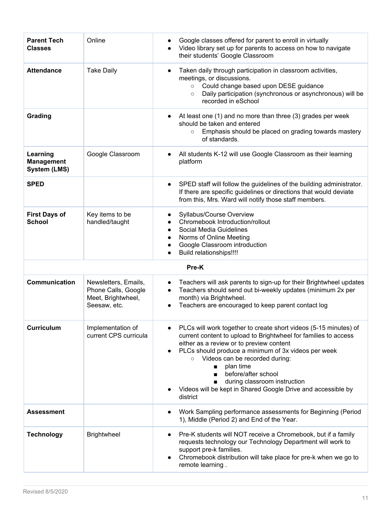| <b>Parent Tech</b><br><b>Classes</b>                 | Online                                                                            | Google classes offered for parent to enroll in virtually<br>Video library set up for parents to access on how to navigate<br>their students' Google Classroom                                                                                                                                                                                                                                                                       |
|------------------------------------------------------|-----------------------------------------------------------------------------------|-------------------------------------------------------------------------------------------------------------------------------------------------------------------------------------------------------------------------------------------------------------------------------------------------------------------------------------------------------------------------------------------------------------------------------------|
| <b>Attendance</b>                                    | <b>Take Daily</b>                                                                 | Taken daily through participation in classroom activities,<br>$\bullet$<br>meetings, or discussions.<br>Could change based upon DESE guidance<br>$\circ$<br>Daily participation (synchronous or asynchronous) will be<br>$\circ$<br>recorded in eSchool                                                                                                                                                                             |
| Grading                                              |                                                                                   | At least one (1) and no more than three (3) grades per week<br>should be taken and entered<br>Emphasis should be placed on grading towards mastery<br>$\circ$<br>of standards.                                                                                                                                                                                                                                                      |
| Learning<br><b>Management</b><br><b>System (LMS)</b> | Google Classroom                                                                  | All students K-12 will use Google Classroom as their learning<br>platform                                                                                                                                                                                                                                                                                                                                                           |
| <b>SPED</b>                                          |                                                                                   | SPED staff will follow the guidelines of the building administrator.<br>$\bullet$<br>If there are specific guidelines or directions that would deviate<br>from this, Mrs. Ward will notify those staff members.                                                                                                                                                                                                                     |
| <b>First Days of</b><br><b>School</b>                | Key items to be<br>handled/taught                                                 | Syllabus/Course Overview<br>Chromebook Introduction/rollout<br>Social Media Guidelines<br>$\bullet$<br>Norms of Online Meeting<br>$\bullet$<br>Google Classroom introduction<br>Build relationships!!!!                                                                                                                                                                                                                             |
|                                                      |                                                                                   | Pre-K                                                                                                                                                                                                                                                                                                                                                                                                                               |
| Communication                                        | Newsletters, Emails,<br>Phone Calls, Google<br>Meet, Brightwheel,<br>Seesaw, etc. | Teachers will ask parents to sign-up for their Brightwheel updates<br>$\bullet$<br>Teachers should send out bi-weekly updates (minimum 2x per<br>$\bullet$<br>month) via Brightwheel.<br>Teachers are encouraged to keep parent contact log<br>$\bullet$                                                                                                                                                                            |
| <b>Curriculum</b>                                    | Implementation of<br>current CPS curricula                                        | PLCs will work together to create short videos (5-15 minutes) of<br>current content to upload to Brightwheel for families to access<br>either as a review or to preview content<br>PLCs should produce a minimum of 3x videos per week<br>Videos can be recorded during:<br>$\circ$<br>plan time<br>before/after school<br>during classroom instruction<br>Videos will be kept in Shared Google Drive and accessible by<br>district |
| <b>Assessment</b>                                    |                                                                                   | Work Sampling performance assessments for Beginning (Period<br>1), Middle (Period 2) and End of the Year.                                                                                                                                                                                                                                                                                                                           |
| <b>Technology</b>                                    | <b>Brightwheel</b>                                                                | Pre-K students will NOT receive a Chromebook, but if a family<br>$\bullet$<br>requests technology our Technology Department will work to<br>support pre-k families.<br>Chromebook distribution will take place for pre-k when we go to<br>remote learning.                                                                                                                                                                          |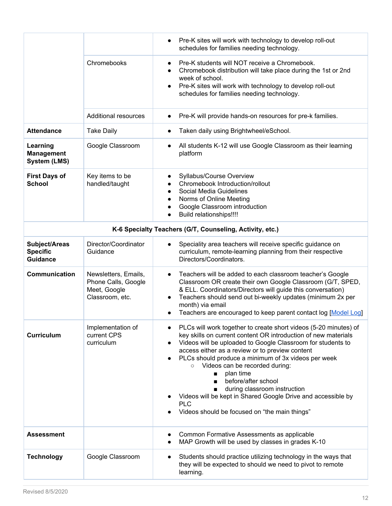|                                                      |                                                                                | Pre-K sites will work with technology to develop roll-out<br>$\bullet$<br>schedules for families needing technology.                                                                                                                                                                                                                                                                                                                                                                                                                                                                                                      |
|------------------------------------------------------|--------------------------------------------------------------------------------|---------------------------------------------------------------------------------------------------------------------------------------------------------------------------------------------------------------------------------------------------------------------------------------------------------------------------------------------------------------------------------------------------------------------------------------------------------------------------------------------------------------------------------------------------------------------------------------------------------------------------|
|                                                      | Chromebooks                                                                    | Pre-K students will NOT receive a Chromebook.<br>$\bullet$<br>Chromebook distribution will take place during the 1st or 2nd<br>$\bullet$<br>week of school.<br>Pre-K sites will work with technology to develop roll-out<br>$\bullet$<br>schedules for families needing technology.                                                                                                                                                                                                                                                                                                                                       |
|                                                      | <b>Additional resources</b>                                                    | Pre-K will provide hands-on resources for pre-k families.<br>$\bullet$                                                                                                                                                                                                                                                                                                                                                                                                                                                                                                                                                    |
| <b>Attendance</b>                                    | <b>Take Daily</b>                                                              | Taken daily using Brightwheel/eSchool.<br>$\bullet$                                                                                                                                                                                                                                                                                                                                                                                                                                                                                                                                                                       |
| Learning<br><b>Management</b><br><b>System (LMS)</b> | Google Classroom                                                               | All students K-12 will use Google Classroom as their learning<br>$\bullet$<br>platform                                                                                                                                                                                                                                                                                                                                                                                                                                                                                                                                    |
| <b>First Days of</b><br><b>School</b>                | Key items to be<br>handled/taught                                              | Syllabus/Course Overview<br>Chromebook Introduction/rollout<br>$\bullet$<br>Social Media Guidelines<br>$\bullet$<br>Norms of Online Meeting<br>$\bullet$<br>Google Classroom introduction<br>$\bullet$<br>Build relationships!!!!<br>$\bullet$                                                                                                                                                                                                                                                                                                                                                                            |
|                                                      |                                                                                | K-6 Specialty Teachers (G/T, Counseling, Activity, etc.)                                                                                                                                                                                                                                                                                                                                                                                                                                                                                                                                                                  |
| Subject/Areas<br><b>Specific</b><br><b>Guidance</b>  | Director/Coordinator<br>Guidance                                               | Speciality area teachers will receive specific guidance on<br>$\bullet$<br>curriculum, remote-learning planning from their respective<br>Directors/Coordinators.                                                                                                                                                                                                                                                                                                                                                                                                                                                          |
| Communication                                        | Newsletters, Emails,<br>Phone Calls, Google<br>Meet, Google<br>Classroom, etc. | Teachers will be added to each classroom teacher's Google<br>$\bullet$<br>Classroom OR create their own Google Classroom (G/T, SPED,<br>& ELL. Coordinators/Directors will guide this conversation)<br>Teachers should send out bi-weekly updates (minimum 2x per<br>$\bullet$<br>month) via email<br>Teachers are encouraged to keep parent contact log [Model Log]<br>$\bullet$                                                                                                                                                                                                                                         |
| <b>Curriculum</b>                                    | Implementation of<br>current CPS<br>curriculum                                 | PLCs will work together to create short videos (5-20 minutes) of<br>$\bullet$<br>key skills on current content OR introduction of new materials<br>Videos will be uploaded to Google Classroom for students to<br>$\bullet$<br>access either as a review or to preview content<br>PLCs should produce a minimum of 3x videos per week<br>Videos can be recorded during:<br>$\circ$<br>plan time<br>$\blacksquare$<br>before/after school<br>$\blacksquare$<br>during classroom instruction<br>Videos will be kept in Shared Google Drive and accessible by<br><b>PLC</b><br>Videos should be focused on "the main things" |
| <b>Assessment</b>                                    |                                                                                | Common Formative Assessments as applicable<br>MAP Growth will be used by classes in grades K-10<br>$\bullet$                                                                                                                                                                                                                                                                                                                                                                                                                                                                                                              |
| <b>Technology</b>                                    | Google Classroom                                                               | Students should practice utilizing technology in the ways that<br>$\bullet$<br>they will be expected to should we need to pivot to remote<br>learning.                                                                                                                                                                                                                                                                                                                                                                                                                                                                    |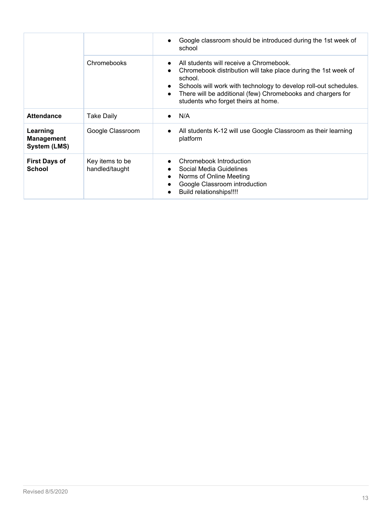|                                               |                                   | Google classroom should be introduced during the 1st week of<br>school                                                                                                                                                                                                                                                                             |
|-----------------------------------------------|-----------------------------------|----------------------------------------------------------------------------------------------------------------------------------------------------------------------------------------------------------------------------------------------------------------------------------------------------------------------------------------------------|
|                                               | Chromebooks                       | All students will receive a Chromebook.<br>$\bullet$<br>Chromebook distribution will take place during the 1st week of<br>$\bullet$<br>school.<br>Schools will work with technology to develop roll-out schedules.<br>$\bullet$<br>There will be additional (few) Chromebooks and chargers for<br>$\bullet$<br>students who forget theirs at home. |
| <b>Attendance</b>                             | <b>Take Daily</b>                 | N/A<br>$\bullet$                                                                                                                                                                                                                                                                                                                                   |
| Learning<br><b>Management</b><br>System (LMS) | Google Classroom                  | All students K-12 will use Google Classroom as their learning<br>$\bullet$<br>platform                                                                                                                                                                                                                                                             |
| <b>First Days of</b><br><b>School</b>         | Key items to be<br>handled/taught | Chromebook Introduction<br>Social Media Guidelines<br>$\bullet$<br>Norms of Online Meeting<br>$\bullet$<br>Google Classroom introduction<br>$\bullet$<br><b>Build relationships!!!!</b>                                                                                                                                                            |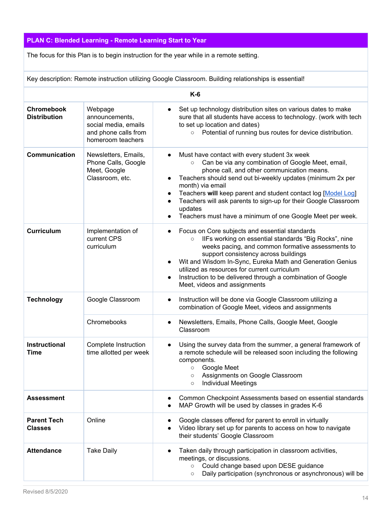# <span id="page-13-0"></span>**PLAN C: Blended Learning - Remote Learning Start to Year**

The focus for this Plan is to begin instruction for the year while in a remote setting.

Key description: Remote instruction utilizing Google Classroom. Building relationships is essential!

| $K-6$                                    |                                                                                                |                                                                                                                                                                                                                                                                                                                                                                                                                                                                                    |  |
|------------------------------------------|------------------------------------------------------------------------------------------------|------------------------------------------------------------------------------------------------------------------------------------------------------------------------------------------------------------------------------------------------------------------------------------------------------------------------------------------------------------------------------------------------------------------------------------------------------------------------------------|--|
| <b>Chromebook</b><br><b>Distribution</b> | Webpage<br>announcements,<br>social media, emails<br>and phone calls from<br>homeroom teachers | Set up technology distribution sites on various dates to make<br>sure that all students have access to technology. (work with tech<br>to set up location and dates)<br>Potential of running bus routes for device distribution.<br>$\circ$                                                                                                                                                                                                                                         |  |
| <b>Communication</b>                     | Newsletters, Emails,<br>Phone Calls, Google<br>Meet, Google<br>Classroom, etc.                 | Must have contact with every student 3x week<br>Can be via any combination of Google Meet, email,<br>$\circ$<br>phone call, and other communication means.<br>Teachers should send out bi-weekly updates (minimum 2x per<br>month) via email<br>Teachers will keep parent and student contact log [Model Log]<br>$\bullet$<br>Teachers will ask parents to sign-up for their Google Classroom<br>$\bullet$<br>updates<br>Teachers must have a minimum of one Google Meet per week. |  |
| <b>Curriculum</b>                        | Implementation of<br>current CPS<br>curriculum                                                 | Focus on Core subjects and essential standards<br>IIFs working on essential standards "Big Rocks", nine<br>$\circ$<br>weeks pacing, and common formative assessments to<br>support consistency across buildings<br>Wit and Wisdom In-Sync, Eureka Math and Generation Genius<br>$\bullet$<br>utilized as resources for current curriculum<br>Instruction to be delivered through a combination of Google<br>$\bullet$<br>Meet, videos and assignments                              |  |
| <b>Technology</b>                        | Google Classroom                                                                               | Instruction will be done via Google Classroom utilizing a<br>$\bullet$<br>combination of Google Meet, videos and assignments                                                                                                                                                                                                                                                                                                                                                       |  |
|                                          | Chromebooks                                                                                    | Newsletters, Emails, Phone Calls, Google Meet, Google<br>Classroom                                                                                                                                                                                                                                                                                                                                                                                                                 |  |
| <b>Instructional</b><br>Time             | Complete Instruction<br>time allotted per week                                                 | Using the survey data from the summer, a general framework of<br>a remote schedule will be released soon including the following<br>components.<br>Google Meet<br>$\circ$<br>Assignments on Google Classroom<br>$\circ$<br><b>Individual Meetings</b><br>$\circ$                                                                                                                                                                                                                   |  |
| <b>Assessment</b>                        |                                                                                                | Common Checkpoint Assessments based on essential standards<br>MAP Growth will be used by classes in grades K-6                                                                                                                                                                                                                                                                                                                                                                     |  |
| <b>Parent Tech</b><br><b>Classes</b>     | Online                                                                                         | Google classes offered for parent to enroll in virtually<br>Video library set up for parents to access on how to navigate<br>their students' Google Classroom                                                                                                                                                                                                                                                                                                                      |  |
| <b>Attendance</b>                        | <b>Take Daily</b>                                                                              | Taken daily through participation in classroom activities,<br>meetings, or discussions.<br>Could change based upon DESE guidance<br>$\circ$<br>Daily participation (synchronous or asynchronous) will be<br>$\circ$                                                                                                                                                                                                                                                                |  |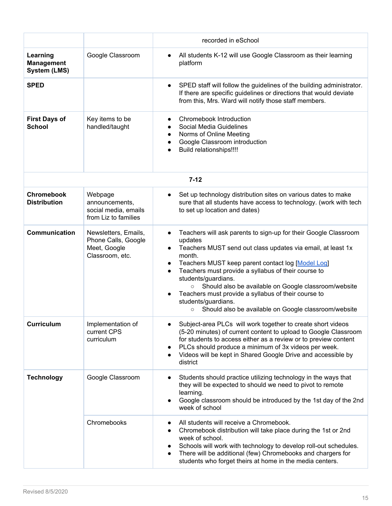|                                                      |                                                                                | recorded in eSchool                                                                                                                                                                                                                                                                                                                                                                                                                                                                                                                                                         |
|------------------------------------------------------|--------------------------------------------------------------------------------|-----------------------------------------------------------------------------------------------------------------------------------------------------------------------------------------------------------------------------------------------------------------------------------------------------------------------------------------------------------------------------------------------------------------------------------------------------------------------------------------------------------------------------------------------------------------------------|
| Learning<br><b>Management</b><br><b>System (LMS)</b> | Google Classroom                                                               | All students K-12 will use Google Classroom as their learning<br>$\bullet$<br>platform                                                                                                                                                                                                                                                                                                                                                                                                                                                                                      |
| <b>SPED</b>                                          |                                                                                | SPED staff will follow the guidelines of the building administrator.<br>$\bullet$<br>If there are specific guidelines or directions that would deviate<br>from this, Mrs. Ward will notify those staff members.                                                                                                                                                                                                                                                                                                                                                             |
| <b>First Days of</b><br><b>School</b>                | Key items to be<br>handled/taught                                              | Chromebook Introduction<br>$\bullet$<br>Social Media Guidelines<br>Norms of Online Meeting<br>$\bullet$<br>Google Classroom introduction<br>Build relationships!!!!                                                                                                                                                                                                                                                                                                                                                                                                         |
|                                                      |                                                                                | $7 - 12$                                                                                                                                                                                                                                                                                                                                                                                                                                                                                                                                                                    |
| <b>Chromebook</b><br><b>Distribution</b>             | Webpage<br>announcements,<br>social media, emails<br>from Liz to families      | Set up technology distribution sites on various dates to make<br>$\bullet$<br>sure that all students have access to technology. (work with tech<br>to set up location and dates)                                                                                                                                                                                                                                                                                                                                                                                            |
| <b>Communication</b>                                 | Newsletters, Emails,<br>Phone Calls, Google<br>Meet, Google<br>Classroom, etc. | Teachers will ask parents to sign-up for their Google Classroom<br>$\bullet$<br>updates<br>Teachers MUST send out class updates via email, at least 1x<br>$\bullet$<br>month.<br>Teachers MUST keep parent contact log [Model Log]<br>$\bullet$<br>Teachers must provide a syllabus of their course to<br>$\bullet$<br>students/guardians.<br>Should also be available on Google classroom/website<br>$\circ$<br>Teachers must provide a syllabus of their course to<br>$\bullet$<br>students/guardians.<br>Should also be available on Google classroom/website<br>$\circ$ |
| <b>Curriculum</b>                                    | Implementation of<br>current CPS<br>curriculum                                 | Subject-area PLCs will work together to create short videos<br>(5-20 minutes) of current content to upload to Google Classroom<br>for students to access either as a review or to preview content<br>PLCs should produce a minimum of 3x videos per week.<br>$\bullet$<br>Videos will be kept in Shared Google Drive and accessible by<br>district                                                                                                                                                                                                                          |
| <b>Technology</b>                                    | Google Classroom                                                               | Students should practice utilizing technology in the ways that<br>$\bullet$<br>they will be expected to should we need to pivot to remote<br>learning.<br>Google classroom should be introduced by the 1st day of the 2nd<br>$\bullet$<br>week of school                                                                                                                                                                                                                                                                                                                    |
|                                                      | Chromebooks                                                                    | All students will receive a Chromebook.<br>$\bullet$<br>Chromebook distribution will take place during the 1st or 2nd<br>week of school.<br>Schools will work with technology to develop roll-out schedules.<br>$\bullet$<br>There will be additional (few) Chromebooks and chargers for<br>students who forget theirs at home in the media centers.                                                                                                                                                                                                                        |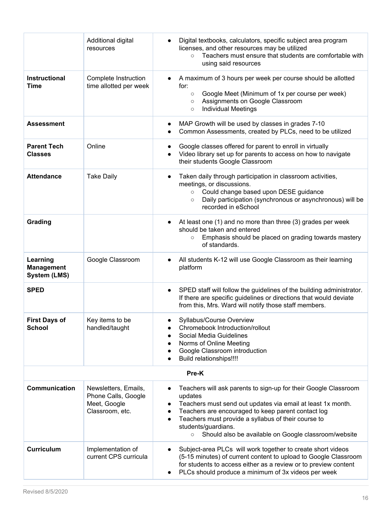|                                                      | Additional digital<br>resources                                                | Digital textbooks, calculators, specific subject area program<br>licenses, and other resources may be utilized<br>Teachers must ensure that students are comfortable with<br>$\circ$<br>using said resources                                                                                                                                                                                         |
|------------------------------------------------------|--------------------------------------------------------------------------------|------------------------------------------------------------------------------------------------------------------------------------------------------------------------------------------------------------------------------------------------------------------------------------------------------------------------------------------------------------------------------------------------------|
| <b>Instructional</b><br><b>Time</b>                  | Complete Instruction<br>time allotted per week                                 | A maximum of 3 hours per week per course should be allotted<br>for:<br>Google Meet (Minimum of 1x per course per week)<br>$\circ$<br>Assignments on Google Classroom<br>$\circ$<br><b>Individual Meetings</b><br>$\circ$                                                                                                                                                                             |
| <b>Assessment</b>                                    |                                                                                | MAP Growth will be used by classes in grades 7-10<br>$\bullet$<br>Common Assessments, created by PLCs, need to be utilized                                                                                                                                                                                                                                                                           |
| <b>Parent Tech</b><br><b>Classes</b>                 | Online                                                                         | Google classes offered for parent to enroll in virtually<br>Video library set up for parents to access on how to navigate<br>their students Google Classroom                                                                                                                                                                                                                                         |
| <b>Attendance</b>                                    | <b>Take Daily</b>                                                              | Taken daily through participation in classroom activities,<br>$\bullet$<br>meetings, or discussions.<br>Could change based upon DESE guidance<br>$\circ$<br>Daily participation (synchronous or asynchronous) will be<br>$\circ$<br>recorded in eSchool                                                                                                                                              |
| Grading                                              |                                                                                | At least one (1) and no more than three (3) grades per week<br>should be taken and entered<br>Emphasis should be placed on grading towards mastery<br>$\circ$<br>of standards.                                                                                                                                                                                                                       |
| Learning<br><b>Management</b><br><b>System (LMS)</b> | Google Classroom                                                               | All students K-12 will use Google Classroom as their learning<br>$\bullet$<br>platform                                                                                                                                                                                                                                                                                                               |
| <b>SPED</b>                                          |                                                                                | SPED staff will follow the guidelines of the building administrator.<br>$\bullet$<br>If there are specific guidelines or directions that would deviate<br>from this, Mrs. Ward will notify those staff members.                                                                                                                                                                                      |
| <b>First Days of</b><br><b>School</b>                | Key items to be<br>handled/taught                                              | Syllabus/Course Overview<br>Chromebook Introduction/rollout<br>Social Media Guidelines<br>$\bullet$<br>Norms of Online Meeting<br>$\bullet$<br>Google Classroom introduction<br>$\bullet$<br>Build relationships!!!!<br>$\bullet$                                                                                                                                                                    |
| Pre-K                                                |                                                                                |                                                                                                                                                                                                                                                                                                                                                                                                      |
| Communication                                        | Newsletters, Emails,<br>Phone Calls, Google<br>Meet, Google<br>Classroom, etc. | Teachers will ask parents to sign-up for their Google Classroom<br>$\bullet$<br>updates<br>Teachers must send out updates via email at least 1x month.<br>$\bullet$<br>Teachers are encouraged to keep parent contact log<br>$\bullet$<br>Teachers must provide a syllabus of their course to<br>$\bullet$<br>students/guardians.<br>Should also be available on Google classroom/website<br>$\circ$ |
| <b>Curriculum</b>                                    | Implementation of<br>current CPS curricula                                     | Subject-area PLCs will work together to create short videos<br>(5-15 minutes) of current content to upload to Google Classroom<br>for students to access either as a review or to preview content<br>PLCs should produce a minimum of 3x videos per week<br>$\bullet$                                                                                                                                |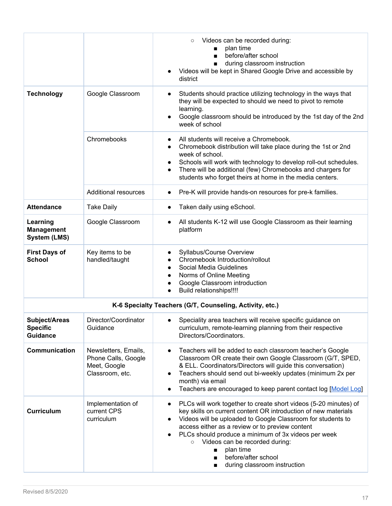|                                                     |                                                                                | Videos can be recorded during:<br>$\circ$<br>plan time<br>before/after school<br>during classroom instruction<br>Videos will be kept in Shared Google Drive and accessible by<br>district                                                                                                                                                                                                                                                                                                  |
|-----------------------------------------------------|--------------------------------------------------------------------------------|--------------------------------------------------------------------------------------------------------------------------------------------------------------------------------------------------------------------------------------------------------------------------------------------------------------------------------------------------------------------------------------------------------------------------------------------------------------------------------------------|
| <b>Technology</b>                                   | Google Classroom                                                               | Students should practice utilizing technology in the ways that<br>$\bullet$<br>they will be expected to should we need to pivot to remote<br>learning.<br>Google classroom should be introduced by the 1st day of the 2nd<br>week of school                                                                                                                                                                                                                                                |
|                                                     | Chromebooks                                                                    | All students will receive a Chromebook.<br>$\bullet$<br>Chromebook distribution will take place during the 1st or 2nd<br>$\bullet$<br>week of school.<br>Schools will work with technology to develop roll-out schedules.<br>٠<br>There will be additional (few) Chromebooks and chargers for<br>$\bullet$<br>students who forget theirs at home in the media centers.                                                                                                                     |
|                                                     | <b>Additional resources</b>                                                    | Pre-K will provide hands-on resources for pre-k families.                                                                                                                                                                                                                                                                                                                                                                                                                                  |
| <b>Attendance</b>                                   | <b>Take Daily</b>                                                              | Taken daily using eSchool.<br>$\bullet$                                                                                                                                                                                                                                                                                                                                                                                                                                                    |
| Learning<br><b>Management</b><br>System (LMS)       | Google Classroom                                                               | All students K-12 will use Google Classroom as their learning<br>platform                                                                                                                                                                                                                                                                                                                                                                                                                  |
| <b>First Days of</b><br><b>School</b>               | Key items to be<br>handled/taught                                              | Syllabus/Course Overview<br>Chromebook Introduction/rollout<br>Social Media Guidelines<br>$\bullet$<br>Norms of Online Meeting<br>$\bullet$<br>Google Classroom introduction<br><b>Build relationships!!!!</b>                                                                                                                                                                                                                                                                             |
|                                                     |                                                                                | K-6 Specialty Teachers (G/T, Counseling, Activity, etc.)                                                                                                                                                                                                                                                                                                                                                                                                                                   |
| Subject/Areas<br><b>Specific</b><br><b>Guidance</b> | Director/Coordinator<br>Guidance                                               | Speciality area teachers will receive specific guidance on<br>curriculum, remote-learning planning from their respective<br>Directors/Coordinators.                                                                                                                                                                                                                                                                                                                                        |
| Communication                                       | Newsletters, Emails,<br>Phone Calls, Google<br>Meet, Google<br>Classroom, etc. | Teachers will be added to each classroom teacher's Google<br>$\bullet$<br>Classroom OR create their own Google Classroom (G/T, SPED,<br>& ELL. Coordinators/Directors will guide this conversation)<br>Teachers should send out bi-weekly updates (minimum 2x per<br>$\bullet$<br>month) via email<br>Teachers are encouraged to keep parent contact log [Model Log]<br>$\bullet$                                                                                                          |
| <b>Curriculum</b>                                   | Implementation of<br>current CPS<br>curriculum                                 | PLCs will work together to create short videos (5-20 minutes) of<br>$\bullet$<br>key skills on current content OR introduction of new materials<br>Videos will be uploaded to Google Classroom for students to<br>$\bullet$<br>access either as a review or to preview content<br>PLCs should produce a minimum of 3x videos per week<br>Videos can be recorded during:<br>$\circ$<br>plan time<br>$\blacksquare$<br>before/after school<br>$\blacksquare$<br>during classroom instruction |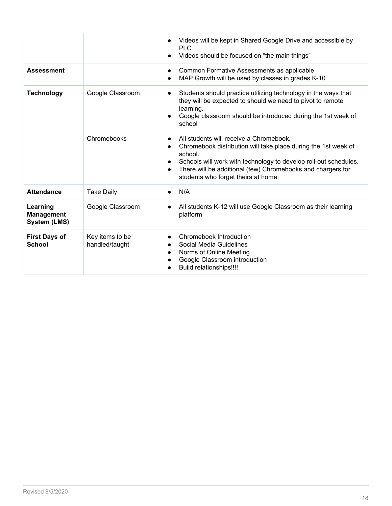|                                                      |                                   | Videos will be kept in Shared Google Drive and accessible by<br>$\bullet$<br><b>PLC</b><br>Videos should be focused on "the main things"                                                                                                                                                                                 |
|------------------------------------------------------|-----------------------------------|--------------------------------------------------------------------------------------------------------------------------------------------------------------------------------------------------------------------------------------------------------------------------------------------------------------------------|
| <b>Assessment</b>                                    |                                   | Common Formative Assessments as applicable<br>$\bullet$<br>MAP Growth will be used by classes in grades K-10<br>$\bullet$                                                                                                                                                                                                |
| <b>Technology</b>                                    | Google Classroom                  | Students should practice utilizing technology in the ways that<br>$\bullet$<br>they will be expected to should we need to pivot to remote<br>learning.<br>Google classroom should be introduced during the 1st week of<br>$\bullet$<br>school                                                                            |
|                                                      | Chromebooks                       | All students will receive a Chromebook.<br>Chromebook distribution will take place during the 1st week of<br>school.<br>Schools will work with technology to develop roll-out schedules.<br>$\bullet$<br>There will be additional (few) Chromebooks and chargers for<br>$\bullet$<br>students who forget theirs at home. |
| <b>Attendance</b>                                    | <b>Take Daily</b>                 | N/A<br>$\bullet$                                                                                                                                                                                                                                                                                                         |
| Learning<br><b>Management</b><br><b>System (LMS)</b> | Google Classroom                  | All students K-12 will use Google Classroom as their learning<br>platform                                                                                                                                                                                                                                                |
| <b>First Days of</b><br><b>School</b>                | Key items to be<br>handled/taught | Chromebook Introduction<br>Social Media Guidelines<br>Norms of Online Meeting<br>$\bullet$<br>Google Classroom introduction<br>Build relationships!!!!                                                                                                                                                                   |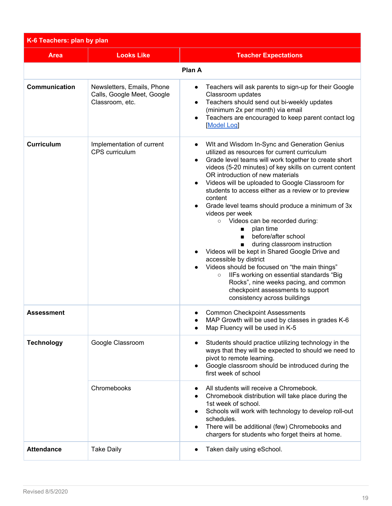<span id="page-18-0"></span>

| K-6 Teachers: plan by plan |                                                                             |                                                                                                                                                                                                                                                                                                                                                                                                                                                                                                                                                                                                                                                                                                                                                                                                                                                                                                                             |
|----------------------------|-----------------------------------------------------------------------------|-----------------------------------------------------------------------------------------------------------------------------------------------------------------------------------------------------------------------------------------------------------------------------------------------------------------------------------------------------------------------------------------------------------------------------------------------------------------------------------------------------------------------------------------------------------------------------------------------------------------------------------------------------------------------------------------------------------------------------------------------------------------------------------------------------------------------------------------------------------------------------------------------------------------------------|
| <b>Area</b>                | <b>Looks Like</b>                                                           | <b>Teacher Expectations</b>                                                                                                                                                                                                                                                                                                                                                                                                                                                                                                                                                                                                                                                                                                                                                                                                                                                                                                 |
|                            |                                                                             | Plan A                                                                                                                                                                                                                                                                                                                                                                                                                                                                                                                                                                                                                                                                                                                                                                                                                                                                                                                      |
| Communication              | Newsletters, Emails, Phone<br>Calls, Google Meet, Google<br>Classroom, etc. | Teachers will ask parents to sign-up for their Google<br>Classroom updates<br>Teachers should send out bi-weekly updates<br>(minimum 2x per month) via email<br>Teachers are encouraged to keep parent contact log<br><b>Model Log</b>                                                                                                                                                                                                                                                                                                                                                                                                                                                                                                                                                                                                                                                                                      |
| <b>Curriculum</b>          | Implementation of current<br>CPS curriculum                                 | WIt and Wisdom In-Sync and Generation Genius<br>$\bullet$<br>utilized as resources for current curriculum<br>Grade level teams will work together to create short<br>$\bullet$<br>videos (5-20 minutes) of key skills on current content<br>OR introduction of new materials<br>Videos will be uploaded to Google Classroom for<br>students to access either as a review or to preview<br>content<br>Grade level teams should produce a minimum of 3x<br>videos per week<br>o Videos can be recorded during:<br>plan time<br>п<br>before/after school<br>$\blacksquare$<br>during classroom instruction<br>$\blacksquare$<br>Videos will be kept in Shared Google Drive and<br>accessible by district<br>Videos should be focused on "the main things"<br>IIFs working on essential standards "Big<br>$\circ$<br>Rocks", nine weeks pacing, and common<br>checkpoint assessments to support<br>consistency across buildings |
| <b>Assessment</b>          |                                                                             | <b>Common Checkpoint Assessments</b><br>MAP Growth will be used by classes in grades K-6<br>Map Fluency will be used in K-5                                                                                                                                                                                                                                                                                                                                                                                                                                                                                                                                                                                                                                                                                                                                                                                                 |
| <b>Technology</b>          | Google Classroom                                                            | Students should practice utilizing technology in the<br>ways that they will be expected to should we need to<br>pivot to remote learning.<br>Google classroom should be introduced during the<br>first week of school                                                                                                                                                                                                                                                                                                                                                                                                                                                                                                                                                                                                                                                                                                       |
|                            | Chromebooks                                                                 | All students will receive a Chromebook.<br>Chromebook distribution will take place during the<br>1st week of school.<br>Schools will work with technology to develop roll-out<br>schedules.<br>There will be additional (few) Chromebooks and<br>chargers for students who forget theirs at home.                                                                                                                                                                                                                                                                                                                                                                                                                                                                                                                                                                                                                           |
| <b>Attendance</b>          | <b>Take Daily</b>                                                           | Taken daily using eSchool.                                                                                                                                                                                                                                                                                                                                                                                                                                                                                                                                                                                                                                                                                                                                                                                                                                                                                                  |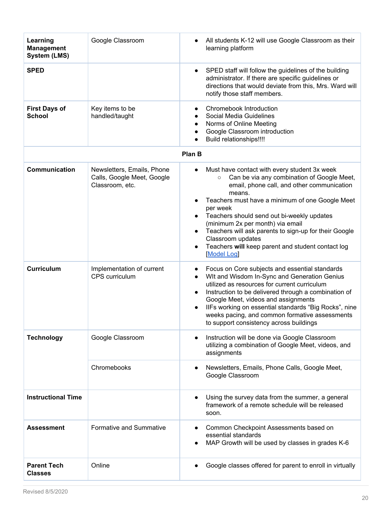| Learning<br><b>Management</b><br><b>System (LMS)</b> | Google Classroom                                                            | All students K-12 will use Google Classroom as their<br>learning platform                                                                                                                                                                                                                                                                                                                                                                                      |
|------------------------------------------------------|-----------------------------------------------------------------------------|----------------------------------------------------------------------------------------------------------------------------------------------------------------------------------------------------------------------------------------------------------------------------------------------------------------------------------------------------------------------------------------------------------------------------------------------------------------|
| <b>SPED</b>                                          |                                                                             | SPED staff will follow the guidelines of the building<br>administrator. If there are specific guidelines or<br>directions that would deviate from this, Mrs. Ward will<br>notify those staff members.                                                                                                                                                                                                                                                          |
| <b>First Days of</b><br><b>School</b>                | Key items to be<br>handled/taught                                           | Chromebook Introduction<br>Social Media Guidelines<br>Norms of Online Meeting<br>Google Classroom introduction<br>Build relationships!!!!                                                                                                                                                                                                                                                                                                                      |
|                                                      |                                                                             | Plan B                                                                                                                                                                                                                                                                                                                                                                                                                                                         |
| Communication                                        | Newsletters, Emails, Phone<br>Calls, Google Meet, Google<br>Classroom, etc. | Must have contact with every student 3x week<br>Can be via any combination of Google Meet,<br>$\circ$<br>email, phone call, and other communication<br>means.<br>Teachers must have a minimum of one Google Meet<br>per week<br>Teachers should send out bi-weekly updates<br>(minimum 2x per month) via email<br>Teachers will ask parents to sign-up for their Google<br>Classroom updates<br>Teachers will keep parent and student contact log<br>Model Log |
| <b>Curriculum</b>                                    | Implementation of current<br>CPS curriculum                                 | Focus on Core subjects and essential standards<br>WIt and Wisdom In-Sync and Generation Genius<br>utilized as resources for current curriculum<br>Instruction to be delivered through a combination of<br>Google Meet, videos and assignments<br>IIFs working on essential standards "Big Rocks", nine<br>weeks pacing, and common formative assessments<br>to support consistency across buildings                                                            |
| <b>Technology</b>                                    | Google Classroom                                                            | Instruction will be done via Google Classroom<br>$\bullet$<br>utilizing a combination of Google Meet, videos, and<br>assignments                                                                                                                                                                                                                                                                                                                               |
|                                                      | Chromebooks                                                                 | Newsletters, Emails, Phone Calls, Google Meet,<br>Google Classroom                                                                                                                                                                                                                                                                                                                                                                                             |
| <b>Instructional Time</b>                            |                                                                             | Using the survey data from the summer, a general<br>framework of a remote schedule will be released<br>soon.                                                                                                                                                                                                                                                                                                                                                   |
| <b>Assessment</b>                                    | Formative and Summative                                                     | Common Checkpoint Assessments based on<br>essential standards<br>MAP Growth will be used by classes in grades K-6                                                                                                                                                                                                                                                                                                                                              |
| <b>Parent Tech</b><br><b>Classes</b>                 | Online                                                                      | Google classes offered for parent to enroll in virtually                                                                                                                                                                                                                                                                                                                                                                                                       |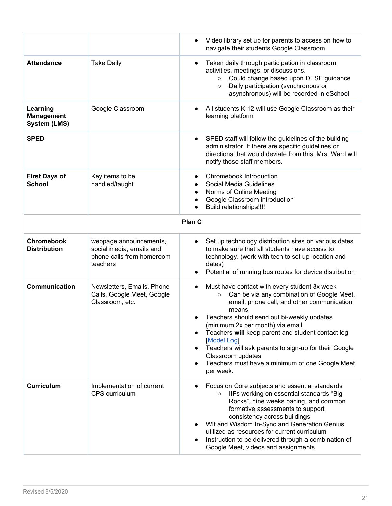|                                                      |                                                                                             | Video library set up for parents to access on how to<br>navigate their students Google Classroom                                                                                                                                                                                                                                                                                                                                                                             |
|------------------------------------------------------|---------------------------------------------------------------------------------------------|------------------------------------------------------------------------------------------------------------------------------------------------------------------------------------------------------------------------------------------------------------------------------------------------------------------------------------------------------------------------------------------------------------------------------------------------------------------------------|
| <b>Attendance</b>                                    | <b>Take Daily</b>                                                                           | Taken daily through participation in classroom<br>activities, meetings, or discussions.<br>Could change based upon DESE guidance<br>$\circ$<br>Daily participation (synchronous or<br>$\circ$<br>asynchronous) will be recorded in eSchool                                                                                                                                                                                                                                   |
| Learning<br><b>Management</b><br><b>System (LMS)</b> | Google Classroom                                                                            | All students K-12 will use Google Classroom as their<br>learning platform                                                                                                                                                                                                                                                                                                                                                                                                    |
| <b>SPED</b>                                          |                                                                                             | SPED staff will follow the guidelines of the building<br>administrator. If there are specific guidelines or<br>directions that would deviate from this, Mrs. Ward will<br>notify those staff members.                                                                                                                                                                                                                                                                        |
| <b>First Days of</b><br><b>School</b>                | Key items to be<br>handled/taught                                                           | Chromebook Introduction<br>Social Media Guidelines<br>Norms of Online Meeting<br>Google Classroom introduction<br><b>Build relationships!!!!</b>                                                                                                                                                                                                                                                                                                                             |
|                                                      |                                                                                             | Plan C                                                                                                                                                                                                                                                                                                                                                                                                                                                                       |
| <b>Chromebook</b><br><b>Distribution</b>             | webpage announcements,<br>social media, emails and<br>phone calls from homeroom<br>teachers | Set up technology distribution sites on various dates<br>$\bullet$<br>to make sure that all students have access to<br>technology. (work with tech to set up location and<br>dates)<br>Potential of running bus routes for device distribution.                                                                                                                                                                                                                              |
| Communication                                        | Newsletters, Emails, Phone<br>Calls, Google Meet, Google<br>Classroom, etc.                 | Must have contact with every student 3x week<br>$\bullet$<br>Can be via any combination of Google Meet,<br>$\circ$<br>email, phone call, and other communication<br>means.<br>Teachers should send out bi-weekly updates<br>(minimum 2x per month) via email<br>Teachers will keep parent and student contact log<br>Model Log<br>Teachers will ask parents to sign-up for their Google<br>Classroom updates<br>Teachers must have a minimum of one Google Meet<br>per week. |
| <b>Curriculum</b>                                    | Implementation of current<br>CPS curriculum                                                 | Focus on Core subjects and essential standards<br>IIFs working on essential standards "Big<br>$\circ$<br>Rocks", nine weeks pacing, and common<br>formative assessments to support<br>consistency across buildings<br>WIt and Wisdom In-Sync and Generation Genius<br>utilized as resources for current curriculum<br>Instruction to be delivered through a combination of<br>Google Meet, videos and assignments                                                            |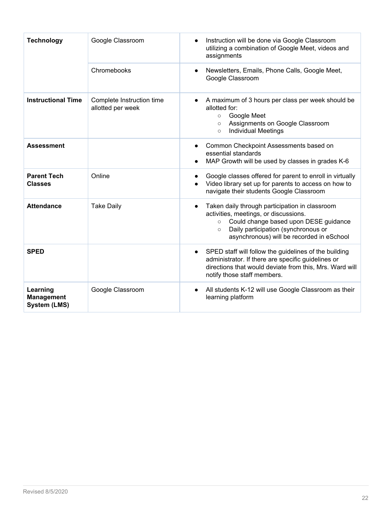| <b>Technology</b>                                    | Google Classroom                               | Instruction will be done via Google Classroom<br>utilizing a combination of Google Meet, videos and<br>assignments                                                                                                                         |
|------------------------------------------------------|------------------------------------------------|--------------------------------------------------------------------------------------------------------------------------------------------------------------------------------------------------------------------------------------------|
|                                                      | Chromebooks                                    | Newsletters, Emails, Phone Calls, Google Meet,<br>Google Classroom                                                                                                                                                                         |
| <b>Instructional Time</b>                            | Complete Instruction time<br>allotted per week | A maximum of 3 hours per class per week should be<br>allotted for:<br>Google Meet<br>$\circ$<br>Assignments on Google Classroom<br>$\circ$<br><b>Individual Meetings</b><br>$\circ$                                                        |
| <b>Assessment</b>                                    |                                                | Common Checkpoint Assessments based on<br>essential standards<br>MAP Growth will be used by classes in grades K-6                                                                                                                          |
| <b>Parent Tech</b><br><b>Classes</b>                 | Online                                         | Google classes offered for parent to enroll in virtually<br>Video library set up for parents to access on how to<br>navigate their students Google Classroom                                                                               |
| <b>Attendance</b>                                    | <b>Take Daily</b>                              | Taken daily through participation in classroom<br>activities, meetings, or discussions.<br>Could change based upon DESE guidance<br>$\circ$<br>Daily participation (synchronous or<br>$\circ$<br>asynchronous) will be recorded in eSchool |
| <b>SPED</b>                                          |                                                | SPED staff will follow the guidelines of the building<br>administrator. If there are specific guidelines or<br>directions that would deviate from this, Mrs. Ward will<br>notify those staff members.                                      |
| Learning<br><b>Management</b><br><b>System (LMS)</b> | Google Classroom                               | All students K-12 will use Google Classroom as their<br>learning platform                                                                                                                                                                  |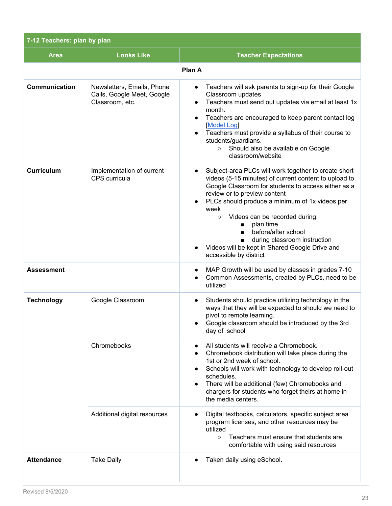<span id="page-22-0"></span>

| 7-12 Teachers: plan by plan |                                                                             |                                                                                                                                                                                                                                                                                                                                                                                                                                                                                                 |
|-----------------------------|-----------------------------------------------------------------------------|-------------------------------------------------------------------------------------------------------------------------------------------------------------------------------------------------------------------------------------------------------------------------------------------------------------------------------------------------------------------------------------------------------------------------------------------------------------------------------------------------|
| <b>Area</b>                 | <b>Looks Like</b>                                                           | <b>Teacher Expectations</b>                                                                                                                                                                                                                                                                                                                                                                                                                                                                     |
|                             |                                                                             | Plan A                                                                                                                                                                                                                                                                                                                                                                                                                                                                                          |
| Communication               | Newsletters, Emails, Phone<br>Calls, Google Meet, Google<br>Classroom, etc. | Teachers will ask parents to sign-up for their Google<br>$\bullet$<br>Classroom updates<br>Teachers must send out updates via email at least 1x<br>month.<br>Teachers are encouraged to keep parent contact log<br>$\bullet$<br>Model Log<br>Teachers must provide a syllabus of their course to<br>$\bullet$<br>students/guardians.<br>Should also be available on Google<br>$\circ$<br>classroom/website                                                                                      |
| <b>Curriculum</b>           | Implementation of current<br>CPS curricula                                  | Subject-area PLCs will work together to create short<br>videos (5-15 minutes) of current content to upload to<br>Google Classroom for students to access either as a<br>review or to preview content<br>PLCs should produce a minimum of 1x videos per<br>week<br>Videos can be recorded during:<br>$\circ$<br>plan time<br>$\blacksquare$<br>before/after school<br>during classroom instruction<br>$\blacksquare$<br>Videos will be kept in Shared Google Drive and<br>accessible by district |
| <b>Assessment</b>           |                                                                             | MAP Growth will be used by classes in grades 7-10<br>Common Assessments, created by PLCs, need to be<br>utilized                                                                                                                                                                                                                                                                                                                                                                                |
| <b>Technology</b>           | Google Classroom                                                            | Students should practice utilizing technology in the<br>ways that they will be expected to should we need to<br>pivot to remote learning.<br>Google classroom should be introduced by the 3rd<br>day of school                                                                                                                                                                                                                                                                                  |
|                             | Chromebooks                                                                 | All students will receive a Chromebook.<br>Chromebook distribution will take place during the<br>1st or 2nd week of school.<br>Schools will work with technology to develop roll-out<br>schedules.<br>There will be additional (few) Chromebooks and<br>chargers for students who forget theirs at home in<br>the media centers.                                                                                                                                                                |
|                             | Additional digital resources                                                | Digital textbooks, calculators, specific subject area<br>program licenses, and other resources may be<br>utilized<br>Teachers must ensure that students are<br>$\circ$<br>comfortable with using said resources                                                                                                                                                                                                                                                                                 |
| <b>Attendance</b>           | <b>Take Daily</b>                                                           | Taken daily using eSchool.                                                                                                                                                                                                                                                                                                                                                                                                                                                                      |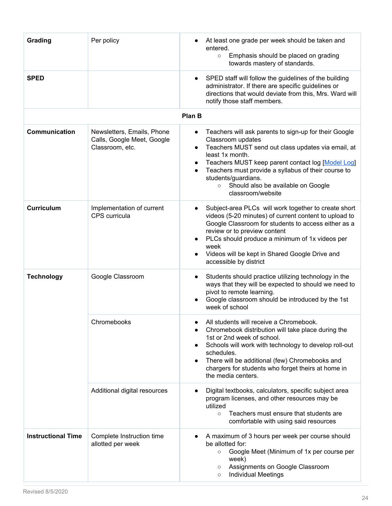| Grading                   | Per policy                                                                  | At least one grade per week should be taken and<br>entered.<br>Emphasis should be placed on grading<br>$\circ$<br>towards mastery of standards.                                                                                                                                                                                                              |
|---------------------------|-----------------------------------------------------------------------------|--------------------------------------------------------------------------------------------------------------------------------------------------------------------------------------------------------------------------------------------------------------------------------------------------------------------------------------------------------------|
| <b>SPED</b>               |                                                                             | SPED staff will follow the guidelines of the building<br>administrator. If there are specific guidelines or<br>directions that would deviate from this, Mrs. Ward will<br>notify those staff members.                                                                                                                                                        |
|                           |                                                                             | <b>Plan B</b>                                                                                                                                                                                                                                                                                                                                                |
| <b>Communication</b>      | Newsletters, Emails, Phone<br>Calls, Google Meet, Google<br>Classroom, etc. | Teachers will ask parents to sign-up for their Google<br>Classroom updates<br>Teachers MUST send out class updates via email, at<br>least 1x month.<br>Teachers MUST keep parent contact log [Model Log]<br>Teachers must provide a syllabus of their course to<br>students/guardians.<br>Should also be available on Google<br>$\circ$<br>classroom/website |
| <b>Curriculum</b>         | Implementation of current<br>CPS curricula                                  | Subject-area PLCs will work together to create short<br>videos (5-20 minutes) of current content to upload to<br>Google Classroom for students to access either as a<br>review or to preview content<br>PLCs should produce a minimum of 1x videos per<br>week<br>Videos will be kept in Shared Google Drive and<br>accessible by district                   |
| <b>Technology</b>         | Google Classroom                                                            | Students should practice utilizing technology in the<br>ways that they will be expected to should we need to<br>pivot to remote learning.<br>Google classroom should be introduced by the 1st<br>week of school                                                                                                                                              |
|                           | Chromebooks                                                                 | All students will receive a Chromebook.<br>Chromebook distribution will take place during the<br>1st or 2nd week of school.<br>Schools will work with technology to develop roll-out<br>schedules.<br>There will be additional (few) Chromebooks and<br>chargers for students who forget theirs at home in<br>the media centers.                             |
|                           | Additional digital resources                                                | Digital textbooks, calculators, specific subject area<br>$\bullet$<br>program licenses, and other resources may be<br>utilized<br>Teachers must ensure that students are<br>$\circ$<br>comfortable with using said resources                                                                                                                                 |
| <b>Instructional Time</b> | Complete Instruction time<br>allotted per week                              | A maximum of 3 hours per week per course should<br>be allotted for:<br>Google Meet (Minimum of 1x per course per<br>$\circ$<br>week)<br>Assignments on Google Classroom<br>$\circ$<br><b>Individual Meetings</b><br>$\circ$                                                                                                                                  |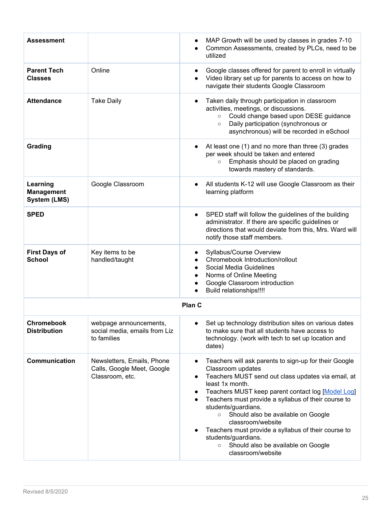| <b>Assessment</b>                                    |                                                                             | MAP Growth will be used by classes in grades 7-10<br>Common Assessments, created by PLCs, need to be<br>utilized                                                                                                                                                                                                                                                                                                                                                                                                                                |
|------------------------------------------------------|-----------------------------------------------------------------------------|-------------------------------------------------------------------------------------------------------------------------------------------------------------------------------------------------------------------------------------------------------------------------------------------------------------------------------------------------------------------------------------------------------------------------------------------------------------------------------------------------------------------------------------------------|
| <b>Parent Tech</b><br><b>Classes</b>                 | Online                                                                      | Google classes offered for parent to enroll in virtually<br>Video library set up for parents to access on how to<br>navigate their students Google Classroom                                                                                                                                                                                                                                                                                                                                                                                    |
| <b>Attendance</b>                                    | <b>Take Daily</b>                                                           | Taken daily through participation in classroom<br>activities, meetings, or discussions.<br>Could change based upon DESE guidance<br>$\circ$<br>Daily participation (synchronous or<br>$\circ$<br>asynchronous) will be recorded in eSchool                                                                                                                                                                                                                                                                                                      |
| Grading                                              |                                                                             | At least one (1) and no more than three (3) grades<br>per week should be taken and entered<br>Emphasis should be placed on grading<br>$\circ$<br>towards mastery of standards.                                                                                                                                                                                                                                                                                                                                                                  |
| Learning<br><b>Management</b><br><b>System (LMS)</b> | Google Classroom                                                            | All students K-12 will use Google Classroom as their<br>learning platform                                                                                                                                                                                                                                                                                                                                                                                                                                                                       |
| <b>SPED</b>                                          |                                                                             | SPED staff will follow the guidelines of the building<br>administrator. If there are specific guidelines or<br>directions that would deviate from this, Mrs. Ward will<br>notify those staff members.                                                                                                                                                                                                                                                                                                                                           |
| <b>First Days of</b><br><b>School</b>                | Key items to be<br>handled/taught                                           | Syllabus/Course Overview<br>Chromebook Introduction/rollout<br>Social Media Guidelines<br>Norms of Online Meeting<br>Google Classroom introduction<br>Build relationships!!!!                                                                                                                                                                                                                                                                                                                                                                   |
|                                                      |                                                                             | Plan C                                                                                                                                                                                                                                                                                                                                                                                                                                                                                                                                          |
| <b>Chromebook</b><br><b>Distribution</b>             | webpage announcements,<br>social media, emails from Liz<br>to families      | Set up technology distribution sites on various dates<br>to make sure that all students have access to<br>technology. (work with tech to set up location and<br>dates)                                                                                                                                                                                                                                                                                                                                                                          |
| <b>Communication</b>                                 | Newsletters, Emails, Phone<br>Calls, Google Meet, Google<br>Classroom, etc. | Teachers will ask parents to sign-up for their Google<br>$\bullet$<br>Classroom updates<br>Teachers MUST send out class updates via email, at<br>$\bullet$<br>least 1x month.<br>Teachers MUST keep parent contact log [Model Log]<br>٠<br>Teachers must provide a syllabus of their course to<br>students/guardians.<br>Should also be available on Google<br>$\circ$<br>classroom/website<br>Teachers must provide a syllabus of their course to<br>students/guardians.<br>Should also be available on Google<br>$\circ$<br>classroom/website |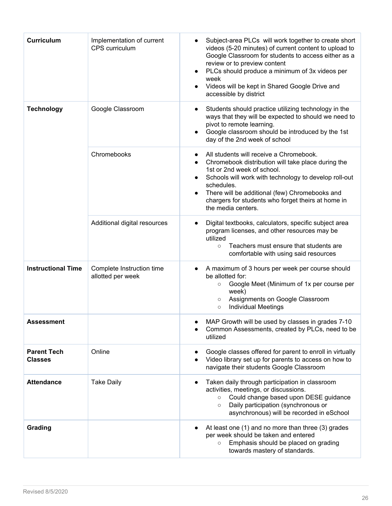| <b>Curriculum</b>                    | Implementation of current<br>CPS curriculum    | Subject-area PLCs will work together to create short<br>videos (5-20 minutes) of current content to upload to<br>Google Classroom for students to access either as a<br>review or to preview content<br>PLCs should produce a minimum of 3x videos per<br>$\bullet$<br>week<br>Videos will be kept in Shared Google Drive and<br>accessible by district |
|--------------------------------------|------------------------------------------------|---------------------------------------------------------------------------------------------------------------------------------------------------------------------------------------------------------------------------------------------------------------------------------------------------------------------------------------------------------|
| <b>Technology</b>                    | Google Classroom                               | Students should practice utilizing technology in the<br>$\bullet$<br>ways that they will be expected to should we need to<br>pivot to remote learning.<br>Google classroom should be introduced by the 1st<br>$\bullet$<br>day of the 2nd week of school                                                                                                |
|                                      | Chromebooks                                    | All students will receive a Chromebook.<br>Chromebook distribution will take place during the<br>1st or 2nd week of school.<br>Schools will work with technology to develop roll-out<br>schedules.<br>There will be additional (few) Chromebooks and<br>chargers for students who forget theirs at home in<br>the media centers.                        |
|                                      | Additional digital resources                   | Digital textbooks, calculators, specific subject area<br>$\bullet$<br>program licenses, and other resources may be<br>utilized<br>Teachers must ensure that students are<br>$\circ$<br>comfortable with using said resources                                                                                                                            |
| <b>Instructional Time</b>            | Complete Instruction time<br>allotted per week | A maximum of 3 hours per week per course should<br>$\bullet$<br>be allotted for:<br>Google Meet (Minimum of 1x per course per<br>$\circ$<br>week)<br>Assignments on Google Classroom<br>$\circ$<br><b>Individual Meetings</b><br>$\circ$                                                                                                                |
| <b>Assessment</b>                    |                                                | MAP Growth will be used by classes in grades 7-10<br>Common Assessments, created by PLCs, need to be<br>utilized                                                                                                                                                                                                                                        |
| <b>Parent Tech</b><br><b>Classes</b> | Online                                         | Google classes offered for parent to enroll in virtually<br>Video library set up for parents to access on how to<br>navigate their students Google Classroom                                                                                                                                                                                            |
| <b>Attendance</b>                    | <b>Take Daily</b>                              | Taken daily through participation in classroom<br>$\bullet$<br>activities, meetings, or discussions.<br>Could change based upon DESE guidance<br>$\circ$<br>Daily participation (synchronous or<br>$\circ$<br>asynchronous) will be recorded in eSchool                                                                                                 |
| Grading                              |                                                | At least one (1) and no more than three (3) grades<br>per week should be taken and entered<br>Emphasis should be placed on grading<br>$\circ$<br>towards mastery of standards.                                                                                                                                                                          |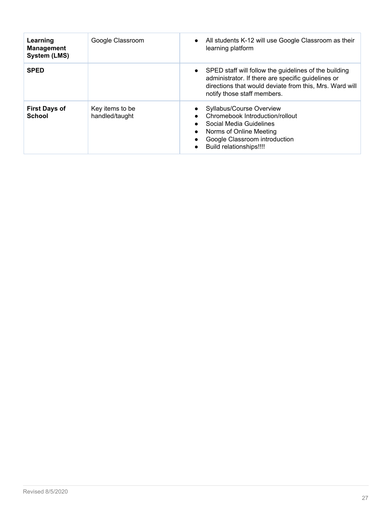| Learning<br><b>Management</b><br><b>System (LMS)</b> | Google Classroom                  | All students K-12 will use Google Classroom as their<br>$\bullet$<br>learning platform                                                                                                                             |
|------------------------------------------------------|-----------------------------------|--------------------------------------------------------------------------------------------------------------------------------------------------------------------------------------------------------------------|
| <b>SPED</b>                                          |                                   | SPED staff will follow the guidelines of the building<br>$\bullet$<br>administrator. If there are specific guidelines or<br>directions that would deviate from this, Mrs. Ward will<br>notify those staff members. |
| <b>First Days of</b><br><b>School</b>                | Key items to be<br>handled/taught | Syllabus/Course Overview<br>Chromebook Introduction/rollout<br>Social Media Guidelines<br>Norms of Online Meeting<br>$\bullet$<br>Google Classroom introduction<br>Build relationships!!!!<br>$\bullet$            |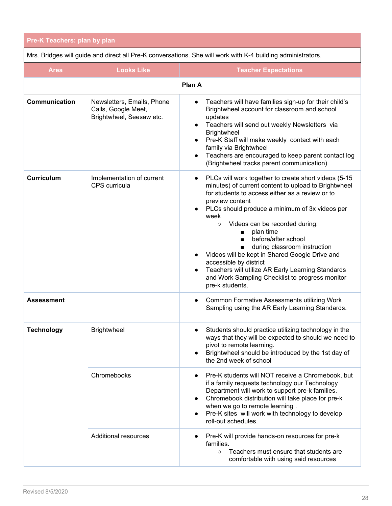<span id="page-27-0"></span>

| <b>Pre-K Teachers: plan by plan</b> |  |
|-------------------------------------|--|
|                                     |  |

Mrs. Bridges will guide and direct all Pre-K conversations. She will work with K-4 building administrators.

| <b>Area</b>          | <b>Looks Like</b>                                                             | <b>Teacher Expectations</b>                                                                                                                                                                                                                                                                                                                                                                                                                                                                                                                                                                                                        |
|----------------------|-------------------------------------------------------------------------------|------------------------------------------------------------------------------------------------------------------------------------------------------------------------------------------------------------------------------------------------------------------------------------------------------------------------------------------------------------------------------------------------------------------------------------------------------------------------------------------------------------------------------------------------------------------------------------------------------------------------------------|
| Plan A               |                                                                               |                                                                                                                                                                                                                                                                                                                                                                                                                                                                                                                                                                                                                                    |
| <b>Communication</b> | Newsletters, Emails, Phone<br>Calls, Google Meet,<br>Brightwheel, Seesaw etc. | Teachers will have families sign-up for their child's<br>$\bullet$<br>Brightwheel account for classroom and school<br>updates<br>Teachers will send out weekly Newsletters via<br>$\bullet$<br>Brightwheel<br>Pre-K Staff will make weekly contact with each<br>$\bullet$<br>family via Brightwheel<br>Teachers are encouraged to keep parent contact log<br>$\bullet$<br>(Brightwheel tracks parent communication)                                                                                                                                                                                                                |
| <b>Curriculum</b>    | Implementation of current<br>CPS curricula                                    | PLCs will work together to create short videos (5-15<br>$\bullet$<br>minutes) of current content to upload to Brightwheel<br>for students to access either as a review or to<br>preview content<br>PLCs should produce a minimum of 3x videos per<br>week<br>Videos can be recorded during:<br>$\circ$<br>plan time<br>$\blacksquare$<br>before/after school<br>$\blacksquare$<br>during classroom instruction<br>Videos will be kept in Shared Google Drive and<br>accessible by district<br>Teachers will utilize AR Early Learning Standards<br>$\bullet$<br>and Work Sampling Checklist to progress monitor<br>pre-k students. |
| <b>Assessment</b>    |                                                                               | Common Formative Assessments utilizing Work<br>Sampling using the AR Early Learning Standards.                                                                                                                                                                                                                                                                                                                                                                                                                                                                                                                                     |
| <b>Technology</b>    | <b>Brightwheel</b>                                                            | Students should practice utilizing technology in the<br>ways that they will be expected to should we need to<br>pivot to remote learning.<br>Brightwheel should be introduced by the 1st day of<br>the 2nd week of school                                                                                                                                                                                                                                                                                                                                                                                                          |
|                      | Chromebooks                                                                   | Pre-K students will NOT receive a Chromebook, but<br>$\bullet$<br>if a family requests technology our Technology<br>Department will work to support pre-k families.<br>Chromebook distribution will take place for pre-k<br>when we go to remote learning.<br>Pre-K sites will work with technology to develop<br>roll-out schedules.                                                                                                                                                                                                                                                                                              |
|                      | <b>Additional resources</b>                                                   | Pre-K will provide hands-on resources for pre-k<br>families.<br>Teachers must ensure that students are<br>$\circ$<br>comfortable with using said resources                                                                                                                                                                                                                                                                                                                                                                                                                                                                         |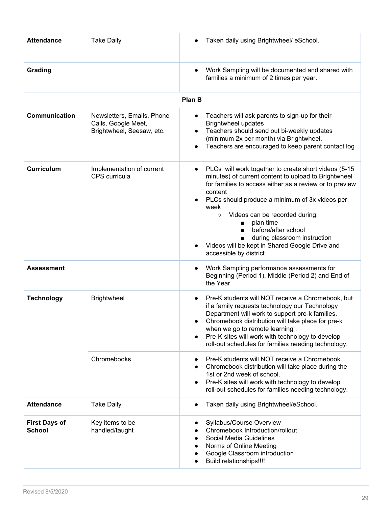| <b>Attendance</b>                     | <b>Take Daily</b>                                                              | Taken daily using Brightwheel/ eSchool.                                                                                                                                                                                                                                                                                                                                                                                                                                                         |
|---------------------------------------|--------------------------------------------------------------------------------|-------------------------------------------------------------------------------------------------------------------------------------------------------------------------------------------------------------------------------------------------------------------------------------------------------------------------------------------------------------------------------------------------------------------------------------------------------------------------------------------------|
| Grading                               |                                                                                | Work Sampling will be documented and shared with<br>families a minimum of 2 times per year.                                                                                                                                                                                                                                                                                                                                                                                                     |
|                                       |                                                                                | Plan B                                                                                                                                                                                                                                                                                                                                                                                                                                                                                          |
| Communication                         | Newsletters, Emails, Phone<br>Calls, Google Meet,<br>Brightwheel, Seesaw, etc. | Teachers will ask parents to sign-up for their<br>$\bullet$<br><b>Brightwheel updates</b><br>Teachers should send out bi-weekly updates<br>(minimum 2x per month) via Brightwheel.<br>Teachers are encouraged to keep parent contact log                                                                                                                                                                                                                                                        |
| <b>Curriculum</b>                     | Implementation of current<br>CPS curricula                                     | PLCs will work together to create short videos (5-15<br>minutes) of current content to upload to Brightwheel<br>for families to access either as a review or to preview<br>content<br>PLCs should produce a minimum of 3x videos per<br>week<br>Videos can be recorded during:<br>$\circ$<br>plan time<br>$\blacksquare$<br>before/after school<br>$\blacksquare$<br>during classroom instruction<br>$\blacksquare$<br>Videos will be kept in Shared Google Drive and<br>accessible by district |
| <b>Assessment</b>                     |                                                                                | Work Sampling performance assessments for<br>Beginning (Period 1), Middle (Period 2) and End of<br>the Year.                                                                                                                                                                                                                                                                                                                                                                                    |
| <b>Technology</b>                     | <b>Brightwheel</b>                                                             | Pre-K students will NOT receive a Chromebook, but<br>$\bullet$<br>if a family requests technology our Technology<br>Department will work to support pre-k families.<br>Chromebook distribution will take place for pre-k<br>when we go to remote learning.<br>Pre-K sites will work with technology to develop<br>roll-out schedules for families needing technology.                                                                                                                           |
|                                       | Chromebooks                                                                    | Pre-K students will NOT receive a Chromebook.<br>Chromebook distribution will take place during the<br>$\bullet$<br>1st or 2nd week of school.<br>Pre-K sites will work with technology to develop<br>roll-out schedules for families needing technology.                                                                                                                                                                                                                                       |
| <b>Attendance</b>                     | <b>Take Daily</b>                                                              | Taken daily using Brightwheel/eSchool.                                                                                                                                                                                                                                                                                                                                                                                                                                                          |
| <b>First Days of</b><br><b>School</b> | Key items to be<br>handled/taught                                              | Syllabus/Course Overview<br>Chromebook Introduction/rollout<br>Social Media Guidelines<br>Norms of Online Meeting<br>Google Classroom introduction<br><b>Build relationships!!!!</b>                                                                                                                                                                                                                                                                                                            |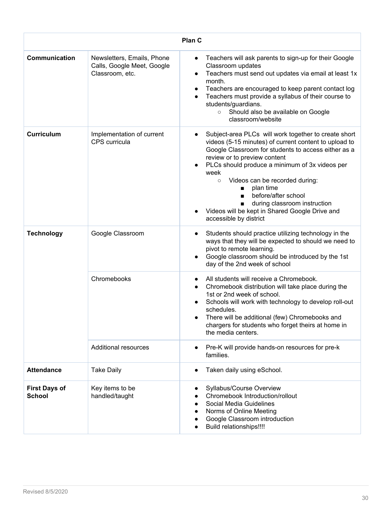| Plan C                                |                                                                             |                                                                                                                                                                                                                                                                                                                                                                                                                                                                                                                                |
|---------------------------------------|-----------------------------------------------------------------------------|--------------------------------------------------------------------------------------------------------------------------------------------------------------------------------------------------------------------------------------------------------------------------------------------------------------------------------------------------------------------------------------------------------------------------------------------------------------------------------------------------------------------------------|
| <b>Communication</b>                  | Newsletters, Emails, Phone<br>Calls, Google Meet, Google<br>Classroom, etc. | Teachers will ask parents to sign-up for their Google<br>$\bullet$<br>Classroom updates<br>Teachers must send out updates via email at least 1x<br>$\bullet$<br>month.<br>Teachers are encouraged to keep parent contact log<br>Teachers must provide a syllabus of their course to<br>students/guardians.<br>Should also be available on Google<br>$\circ$<br>classroom/website                                                                                                                                               |
| <b>Curriculum</b>                     | Implementation of current<br>CPS curricula                                  | Subject-area PLCs will work together to create short<br>$\bullet$<br>videos (5-15 minutes) of current content to upload to<br>Google Classroom for students to access either as a<br>review or to preview content<br>PLCs should produce a minimum of 3x videos per<br>week<br>Videos can be recorded during:<br>$\circ$<br>plan time<br>$\blacksquare$<br>before/after school<br>$\blacksquare$<br>during classroom instruction<br>$\blacksquare$<br>Videos will be kept in Shared Google Drive and<br>accessible by district |
| <b>Technology</b>                     | Google Classroom                                                            | Students should practice utilizing technology in the<br>ways that they will be expected to should we need to<br>pivot to remote learning.<br>Google classroom should be introduced by the 1st<br>day of the 2nd week of school                                                                                                                                                                                                                                                                                                 |
|                                       | Chromebooks                                                                 | All students will receive a Chromebook.<br>Chromebook distribution will take place during the<br>1st or 2nd week of school.<br>Schools will work with technology to develop roll-out<br>schedules.<br>There will be additional (few) Chromebooks and<br>chargers for students who forget theirs at home in<br>the media centers.                                                                                                                                                                                               |
|                                       | <b>Additional resources</b>                                                 | Pre-K will provide hands-on resources for pre-k<br>families.                                                                                                                                                                                                                                                                                                                                                                                                                                                                   |
| <b>Attendance</b>                     | <b>Take Daily</b>                                                           | Taken daily using eSchool.                                                                                                                                                                                                                                                                                                                                                                                                                                                                                                     |
| <b>First Days of</b><br><b>School</b> | Key items to be<br>handled/taught                                           | Syllabus/Course Overview<br>Chromebook Introduction/rollout<br>Social Media Guidelines<br>Norms of Online Meeting<br>Google Classroom introduction<br>Build relationships!!!!                                                                                                                                                                                                                                                                                                                                                  |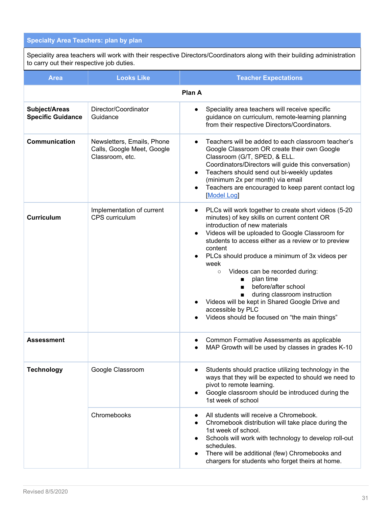## <span id="page-30-0"></span>**Specialty Area Teachers: plan by plan**

Speciality area teachers will work with their respective Directors/Coordinators along with their building administration to carry out their respective job duties.

| <b>Area</b>                               | <b>Looks Like</b>                                                           | <b>Teacher Expectations</b>                                                                                                                                                                                                                                                                                                                                                                                                                                                                                                                                                                                                      |  |  |
|-------------------------------------------|-----------------------------------------------------------------------------|----------------------------------------------------------------------------------------------------------------------------------------------------------------------------------------------------------------------------------------------------------------------------------------------------------------------------------------------------------------------------------------------------------------------------------------------------------------------------------------------------------------------------------------------------------------------------------------------------------------------------------|--|--|
|                                           | Plan A                                                                      |                                                                                                                                                                                                                                                                                                                                                                                                                                                                                                                                                                                                                                  |  |  |
| Subject/Areas<br><b>Specific Guidance</b> | Director/Coordinator<br>Guidance                                            | Speciality area teachers will receive specific<br>guidance on curriculum, remote-learning planning<br>from their respective Directors/Coordinators.                                                                                                                                                                                                                                                                                                                                                                                                                                                                              |  |  |
| <b>Communication</b>                      | Newsletters, Emails, Phone<br>Calls, Google Meet, Google<br>Classroom, etc. | Teachers will be added to each classroom teacher's<br>Google Classroom OR create their own Google<br>Classroom (G/T, SPED, & ELL.<br>Coordinators/Directors will guide this conversation)<br>Teachers should send out bi-weekly updates<br>$\bullet$<br>(minimum 2x per month) via email<br>Teachers are encouraged to keep parent contact log<br>$\bullet$<br>Model Log                                                                                                                                                                                                                                                         |  |  |
| <b>Curriculum</b>                         | Implementation of current<br>CPS curriculum                                 | PLCs will work together to create short videos (5-20<br>$\bullet$<br>minutes) of key skills on current content OR<br>introduction of new materials<br>Videos will be uploaded to Google Classroom for<br>students to access either as a review or to preview<br>content<br>PLCs should produce a minimum of 3x videos per<br>week<br>Videos can be recorded during:<br>$\circ$<br>plan time<br>$\blacksquare$<br>before/after school<br>$\blacksquare$<br>during classroom instruction<br>$\blacksquare$<br>Videos will be kept in Shared Google Drive and<br>accessible by PLC<br>Videos should be focused on "the main things" |  |  |
| <b>Assessment</b>                         |                                                                             | Common Formative Assessments as applicable<br>MAP Growth will be used by classes in grades K-10                                                                                                                                                                                                                                                                                                                                                                                                                                                                                                                                  |  |  |
| <b>Technology</b>                         | Google Classroom                                                            | Students should practice utilizing technology in the<br>ways that they will be expected to should we need to<br>pivot to remote learning.<br>Google classroom should be introduced during the<br>1st week of school                                                                                                                                                                                                                                                                                                                                                                                                              |  |  |
|                                           | Chromebooks                                                                 | All students will receive a Chromebook.<br>Chromebook distribution will take place during the<br>1st week of school.<br>Schools will work with technology to develop roll-out<br>schedules.<br>There will be additional (few) Chromebooks and<br>chargers for students who forget theirs at home.                                                                                                                                                                                                                                                                                                                                |  |  |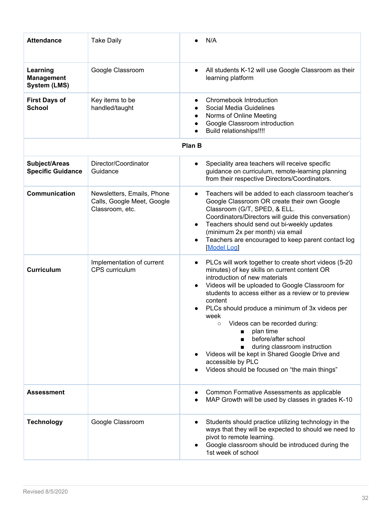| <b>Attendance</b>                                    | <b>Take Daily</b>                                                           | N/A                                                                                                                                                                                                                                                                                                                                                                                                                                                                                                                                                |
|------------------------------------------------------|-----------------------------------------------------------------------------|----------------------------------------------------------------------------------------------------------------------------------------------------------------------------------------------------------------------------------------------------------------------------------------------------------------------------------------------------------------------------------------------------------------------------------------------------------------------------------------------------------------------------------------------------|
| Learning<br><b>Management</b><br><b>System (LMS)</b> | Google Classroom                                                            | All students K-12 will use Google Classroom as their<br>learning platform                                                                                                                                                                                                                                                                                                                                                                                                                                                                          |
| <b>First Days of</b><br><b>School</b>                | Key items to be<br>handled/taught                                           | Chromebook Introduction<br>Social Media Guidelines<br>Norms of Online Meeting<br>Google Classroom introduction<br>Build relationships!!!!                                                                                                                                                                                                                                                                                                                                                                                                          |
|                                                      |                                                                             | Plan B                                                                                                                                                                                                                                                                                                                                                                                                                                                                                                                                             |
| Subject/Areas<br><b>Specific Guidance</b>            | Director/Coordinator<br>Guidance                                            | Speciality area teachers will receive specific<br>guidance on curriculum, remote-learning planning<br>from their respective Directors/Coordinators.                                                                                                                                                                                                                                                                                                                                                                                                |
| Communication                                        | Newsletters, Emails, Phone<br>Calls, Google Meet, Google<br>Classroom, etc. | Teachers will be added to each classroom teacher's<br>Google Classroom OR create their own Google<br>Classroom (G/T, SPED, & ELL.<br>Coordinators/Directors will guide this conversation)<br>Teachers should send out bi-weekly updates<br>٠<br>(minimum 2x per month) via email<br>Teachers are encouraged to keep parent contact log<br>$\bullet$<br>Model Log                                                                                                                                                                                   |
| <b>Curriculum</b>                                    | Implementation of current<br>CPS curriculum                                 | PLCs will work together to create short videos (5-20<br>minutes) of key skills on current content OR<br>introduction of new materials<br>Videos will be uploaded to Google Classroom for<br>students to access either as a review or to preview<br>content<br>PLCs should produce a minimum of 3x videos per<br>week<br>Videos can be recorded during:<br>plan time<br>before/after school<br>during classroom instruction<br>Videos will be kept in Shared Google Drive and<br>accessible by PLC<br>Videos should be focused on "the main things" |
| <b>Assessment</b>                                    |                                                                             | Common Formative Assessments as applicable<br>MAP Growth will be used by classes in grades K-10                                                                                                                                                                                                                                                                                                                                                                                                                                                    |
| <b>Technology</b>                                    | Google Classroom                                                            | Students should practice utilizing technology in the<br>ways that they will be expected to should we need to<br>pivot to remote learning.<br>Google classroom should be introduced during the<br>1st week of school                                                                                                                                                                                                                                                                                                                                |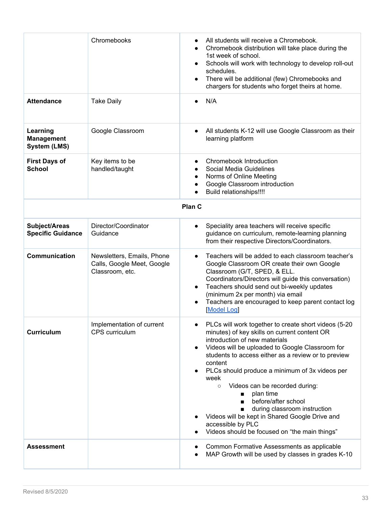|                                                      | Chromebooks                                                                 | All students will receive a Chromebook.<br>Chromebook distribution will take place during the<br>$\bullet$<br>1st week of school.<br>Schools will work with technology to develop roll-out<br>schedules.<br>There will be additional (few) Chromebooks and<br>chargers for students who forget theirs at home.                                                                                                                                                                                                                                                                                                      |
|------------------------------------------------------|-----------------------------------------------------------------------------|---------------------------------------------------------------------------------------------------------------------------------------------------------------------------------------------------------------------------------------------------------------------------------------------------------------------------------------------------------------------------------------------------------------------------------------------------------------------------------------------------------------------------------------------------------------------------------------------------------------------|
| <b>Attendance</b>                                    | <b>Take Daily</b>                                                           | N/A                                                                                                                                                                                                                                                                                                                                                                                                                                                                                                                                                                                                                 |
| Learning<br><b>Management</b><br><b>System (LMS)</b> | Google Classroom                                                            | All students K-12 will use Google Classroom as their<br>learning platform                                                                                                                                                                                                                                                                                                                                                                                                                                                                                                                                           |
| <b>First Days of</b><br><b>School</b>                | Key items to be<br>handled/taught                                           | Chromebook Introduction<br>Social Media Guidelines<br>Norms of Online Meeting<br>Google Classroom introduction<br>Build relationships!!!!                                                                                                                                                                                                                                                                                                                                                                                                                                                                           |
| Plan C                                               |                                                                             |                                                                                                                                                                                                                                                                                                                                                                                                                                                                                                                                                                                                                     |
| Subject/Areas<br><b>Specific Guidance</b>            | Director/Coordinator<br>Guidance                                            | Speciality area teachers will receive specific<br>guidance on curriculum, remote-learning planning<br>from their respective Directors/Coordinators.                                                                                                                                                                                                                                                                                                                                                                                                                                                                 |
| <b>Communication</b>                                 | Newsletters, Emails, Phone<br>Calls, Google Meet, Google<br>Classroom, etc. | Teachers will be added to each classroom teacher's<br>$\bullet$<br>Google Classroom OR create their own Google<br>Classroom (G/T, SPED, & ELL.<br>Coordinators/Directors will guide this conversation)<br>Teachers should send out bi-weekly updates<br>(minimum 2x per month) via email<br>Teachers are encouraged to keep parent contact log<br><b>Model Log</b>                                                                                                                                                                                                                                                  |
| <b>Curriculum</b>                                    | Implementation of current<br>CPS curriculum                                 | PLCs will work together to create short videos (5-20<br>minutes) of key skills on current content OR<br>introduction of new materials<br>Videos will be uploaded to Google Classroom for<br>students to access either as a review or to preview<br>content<br>PLCs should produce a minimum of 3x videos per<br>week<br>Videos can be recorded during:<br>$\circ$<br>plan time<br>$\blacksquare$<br>before/after school<br>$\blacksquare$<br>during classroom instruction<br>$\blacksquare$<br>Videos will be kept in Shared Google Drive and<br>accessible by PLC<br>Videos should be focused on "the main things" |
| <b>Assessment</b>                                    |                                                                             | Common Formative Assessments as applicable<br>MAP Growth will be used by classes in grades K-10                                                                                                                                                                                                                                                                                                                                                                                                                                                                                                                     |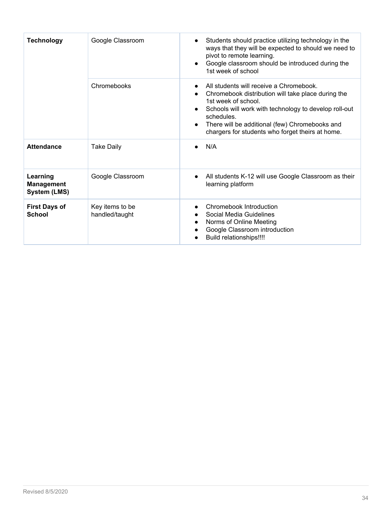| <b>Technology</b>                                    | Google Classroom                  | Students should practice utilizing technology in the<br>ways that they will be expected to should we need to<br>pivot to remote learning.<br>Google classroom should be introduced during the<br>1st week of school                                                                               |
|------------------------------------------------------|-----------------------------------|---------------------------------------------------------------------------------------------------------------------------------------------------------------------------------------------------------------------------------------------------------------------------------------------------|
|                                                      | Chromebooks                       | All students will receive a Chromebook.<br>Chromebook distribution will take place during the<br>1st week of school.<br>Schools will work with technology to develop roll-out<br>schedules.<br>There will be additional (few) Chromebooks and<br>chargers for students who forget theirs at home. |
| <b>Attendance</b>                                    | <b>Take Daily</b>                 | N/A                                                                                                                                                                                                                                                                                               |
| Learning<br><b>Management</b><br><b>System (LMS)</b> | Google Classroom                  | All students K-12 will use Google Classroom as their<br>learning platform                                                                                                                                                                                                                         |
| <b>First Days of</b><br><b>School</b>                | Key items to be<br>handled/taught | Chromebook Introduction<br>Social Media Guidelines<br>Norms of Online Meeting<br>Google Classroom introduction<br><b>Build relationships!!!!</b>                                                                                                                                                  |